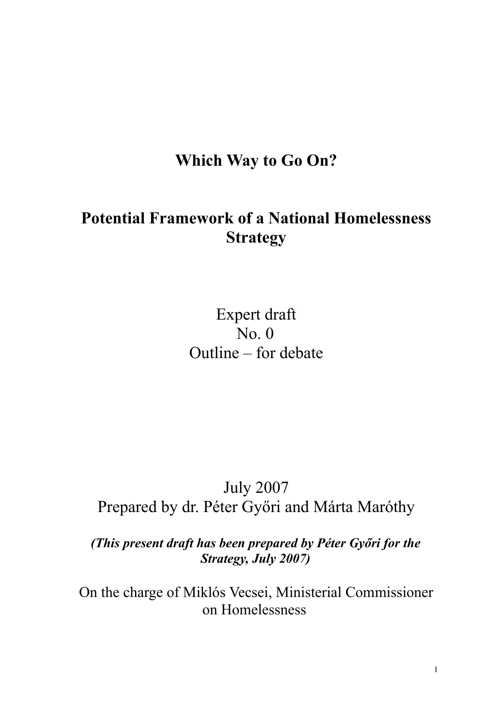# **Which Way to Go On?**

# **Potential Framework of a National Homelessness Strategy**

Expert draft No. 0 Outline – for debate

# July 2007 Prepared by dr. Péter Győri and Márta Maróthy

*(This present draft has been prepared by Péter Győri for the Strategy, July 2007)*

On the charge of Miklós Vecsei, Ministerial Commissioner on Homelessness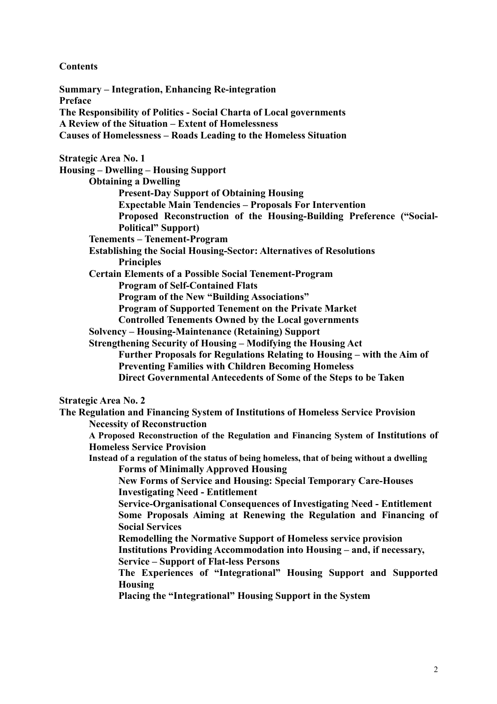## **Contents**

**Summary – Integration, Enhancing Re-integration Preface The Responsibility of Politics - Social Charta of Local governments A Review of the Situation – Extent of Homelessness Causes of Homelessness – Roads Leading to the Homeless Situation Strategic Area No. 1 Housing – Dwelling – Housing Support Obtaining a Dwelling Present-Day Support of Obtaining Housing Expectable Main Tendencies – Proposals For Intervention Proposed Reconstruction of the Housing-Building Preference ("Social-Political" Support) Tenements – Tenement-Program Establishing the Social Housing-Sector: Alternatives of Resolutions Principles Certain Elements of a Possible Social Tenement-Program Program of Self-Contained Flats Program of the New "Building Associations" Program of Supported Tenement on the Private Market Controlled Tenements Owned by the Local governments Solvency – Housing-Maintenance (Retaining) Support Strengthening Security of Housing – Modifying the Housing Act Further Proposals for Regulations Relating to Housing – with the Aim of Preventing Families with Children Becoming Homeless Direct Governmental Antecedents of Some of the Steps to be Taken Strategic Area No. 2 The Regulation and Financing System of Institutions of Homeless Service Provision Necessity of Reconstruction A Proposed Reconstruction of the Regulation and Financing System of Institutions of Homeless Service Provision Instead of a regulation of the status of being homeless, that of being without a dwelling Forms of Minimally Approved Housing New Forms of Service and Housing: Special Temporary Care-Houses Investigating Need - Entitlement Service-Organisational Consequences of Investigating Need - Entitlement Some Proposals Aiming at Renewing the Regulation and Financing of Social Services Remodelling the Normative Support of Homeless service provision Institutions Providing Accommodation into Housing – and, if necessary, Service – Support of Flat-less Persons The Experiences of "Integrational" Housing Support and Supported Housing Placing the "Integrational" Housing Support in the System**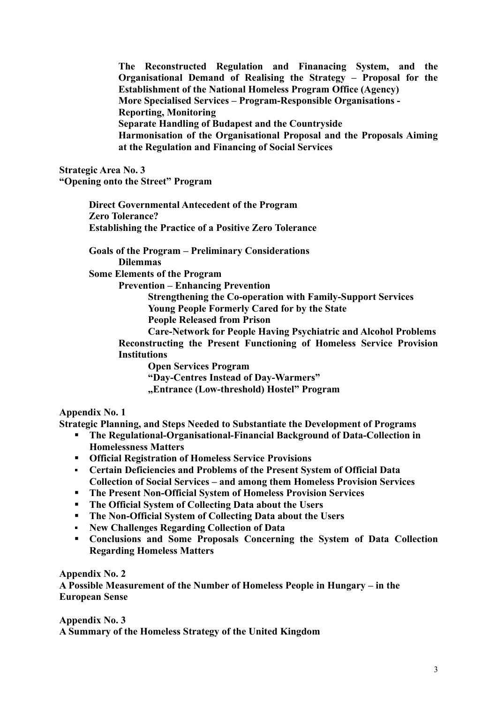**The Reconstructed Regulation and Finanacing System, and the Organisational Demand of Realising the Strategy – Proposal for the Establishment of the National Homeless Program Office (Agency) More Specialised Services – Program-Responsible Organisations - Reporting, Monitoring Separate Handling of Budapest and the Countryside Harmonisation of the Organisational Proposal and the Proposals Aiming at the Regulation and Financing of Social Services**

**Strategic Area No. 3 "Opening onto the Street" Program**

> **Direct Governmental Antecedent of the Program Zero Tolerance? Establishing the Practice of a Positive Zero Tolerance**

**Goals of the Program – Preliminary Considerations Dilemmas Some Elements of the Program**

**Prevention – Enhancing Prevention**

**Strengthening the Co-operation with Family-Support Services Young People Formerly Cared for by the State**

**People Released from Prison**

**Care-Network for People Having Psychiatric and Alcohol Problems Reconstructing the Present Functioning of Homeless Service Provision Institutions**

**Open Services Program**

**"Day-Centres Instead of Day-Warmers"**

**"Entrance (Low-threshold) Hostel" Program**

**Appendix No. 1**

**Strategic Planning, and Steps Needed to Substantiate the Development of Programs**

- **The Regulational-Organisational-Financial Background of Data-Collection in Homelessness Matters**
- **Official Registration of Homeless Service Provisions**
- **Certain Deficiencies and Problems of the Present System of Official Data Collection of Social Services – and among them Homeless Provision Services**
- **The Present Non-Official System of Homeless Provision Services**
- **The Official System of Collecting Data about the Users**
- **The Non-Official System of Collecting Data about the Users**
- **New Challenges Regarding Collection of Data**
- **Conclusions and Some Proposals Concerning the System of Data Collection Regarding Homeless Matters**

**Appendix No. 2 A Possible Measurement of the Number of Homeless People in Hungary – in the European Sense**

**Appendix No. 3 A Summary of the Homeless Strategy of the United Kingdom**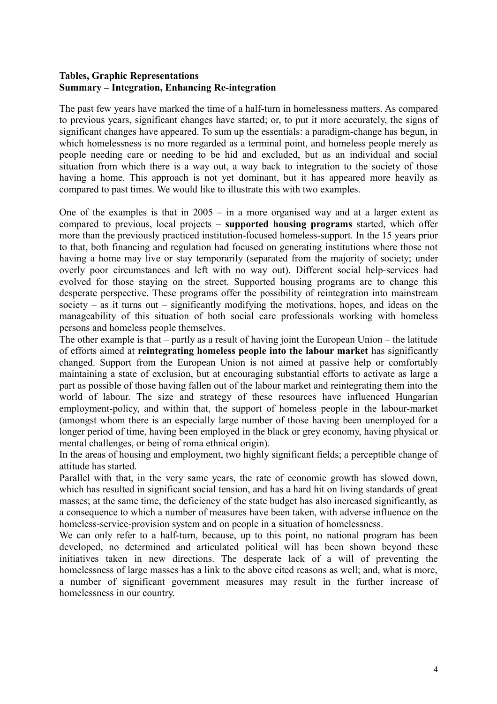## **Tables, Graphic Representations Summary – Integration, Enhancing Re-integration**

The past few years have marked the time of a half-turn in homelessness matters. As compared to previous years, significant changes have started; or, to put it more accurately, the signs of significant changes have appeared. To sum up the essentials: a paradigm-change has begun, in which homelessness is no more regarded as a terminal point, and homeless people merely as people needing care or needing to be hid and excluded, but as an individual and social situation from which there is a way out, a way back to integration to the society of those having a home. This approach is not yet dominant, but it has appeared more heavily as compared to past times. We would like to illustrate this with two examples.

One of the examples is that in  $2005 - in$  a more organised way and at a larger extent as compared to previous, local projects – **supported housing programs** started, which offer more than the previously practiced institution-focused homeless-support. In the 15 years prior to that, both financing and regulation had focused on generating institutions where those not having a home may live or stay temporarily (separated from the majority of society; under overly poor circumstances and left with no way out). Different social help-services had evolved for those staying on the street. Supported housing programs are to change this desperate perspective. These programs offer the possibility of reintegration into mainstream society – as it turns out – significantly modifying the motivations, hopes, and ideas on the manageability of this situation of both social care professionals working with homeless persons and homeless people themselves.

The other example is that – partly as a result of having joint the European Union – the latitude of efforts aimed at **reintegrating homeless people into the labour market** has significantly changed. Support from the European Union is not aimed at passive help or comfortably maintaining a state of exclusion, but at encouraging substantial efforts to activate as large a part as possible of those having fallen out of the labour market and reintegrating them into the world of labour. The size and strategy of these resources have influenced Hungarian employment-policy, and within that, the support of homeless people in the labour-market (amongst whom there is an especially large number of those having been unemployed for a longer period of time, having been employed in the black or grey economy, having physical or mental challenges, or being of roma ethnical origin).

In the areas of housing and employment, two highly significant fields; a perceptible change of attitude has started.

Parallel with that, in the very same years, the rate of economic growth has slowed down, which has resulted in significant social tension, and has a hard hit on living standards of great masses; at the same time, the deficiency of the state budget has also increased significantly, as a consequence to which a number of measures have been taken, with adverse influence on the homeless-service-provision system and on people in a situation of homelessness.

We can only refer to a half-turn, because, up to this point, no national program has been developed, no determined and articulated political will has been shown beyond these initiatives taken in new directions. The desperate lack of a will of preventing the homelessness of large masses has a link to the above cited reasons as well; and, what is more, a number of significant government measures may result in the further increase of homelessness in our country.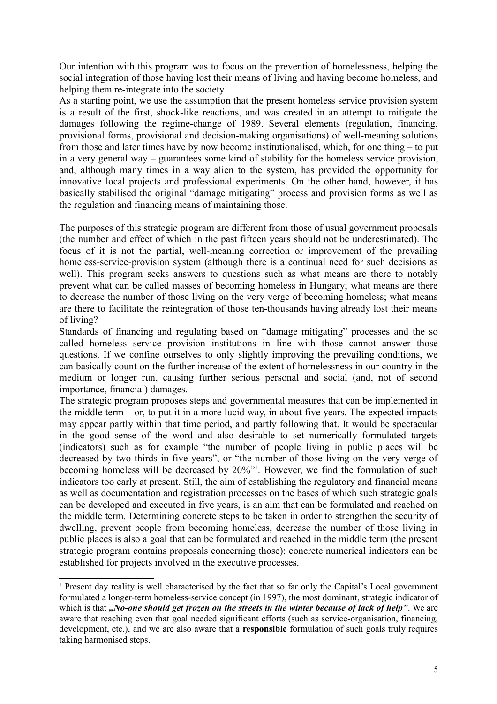Our intention with this program was to focus on the prevention of homelessness, helping the social integration of those having lost their means of living and having become homeless, and helping them re-integrate into the society.

As a starting point, we use the assumption that the present homeless service provision system is a result of the first, shock-like reactions, and was created in an attempt to mitigate the damages following the regime-change of 1989. Several elements (regulation, financing, provisional forms, provisional and decision-making organisations) of well-meaning solutions from those and later times have by now become institutionalised, which, for one thing – to put in a very general way – guarantees some kind of stability for the homeless service provision, and, although many times in a way alien to the system, has provided the opportunity for innovative local projects and professional experiments. On the other hand, however, it has basically stabilised the original "damage mitigating" process and provision forms as well as the regulation and financing means of maintaining those.

The purposes of this strategic program are different from those of usual government proposals (the number and effect of which in the past fifteen years should not be underestimated). The focus of it is not the partial, well-meaning correction or improvement of the prevailing homeless-service-provision system (although there is a continual need for such decisions as well). This program seeks answers to questions such as what means are there to notably prevent what can be called masses of becoming homeless in Hungary; what means are there to decrease the number of those living on the very verge of becoming homeless; what means are there to facilitate the reintegration of those ten-thousands having already lost their means of living?

Standards of financing and regulating based on "damage mitigating" processes and the so called homeless service provision institutions in line with those cannot answer those questions. If we confine ourselves to only slightly improving the prevailing conditions, we can basically count on the further increase of the extent of homelessness in our country in the medium or longer run, causing further serious personal and social (and, not of second importance, financial) damages.

The strategic program proposes steps and governmental measures that can be implemented in the middle term – or, to put it in a more lucid way, in about five years. The expected impacts may appear partly within that time period, and partly following that. It would be spectacular in the good sense of the word and also desirable to set numerically formulated targets (indicators) such as for example "the number of people living in public places will be decreased by two thirds in five years", or "the number of those living on the very verge of becoming homeless will be decreased by 20%"<sup>[1](#page-4-0)</sup>. However, we find the formulation of such indicators too early at present. Still, the aim of establishing the regulatory and financial means as well as documentation and registration processes on the bases of which such strategic goals can be developed and executed in five years, is an aim that can be formulated and reached on the middle term. Determining concrete steps to be taken in order to strengthen the security of dwelling, prevent people from becoming homeless, decrease the number of those living in public places is also a goal that can be formulated and reached in the middle term (the present strategic program contains proposals concerning those); concrete numerical indicators can be established for projects involved in the executive processes.

<span id="page-4-0"></span><sup>1</sup> Present day reality is well characterised by the fact that so far only the Capital's Local government formulated a longer-term homeless-service concept (in 1997), the most dominant, strategic indicator of which is that *"No-one should get frozen on the streets in the winter because of lack of help"*. We are aware that reaching even that goal needed significant efforts (such as service-organisation, financing, development, etc.), and we are also aware that a **responsible** formulation of such goals truly requires taking harmonised steps.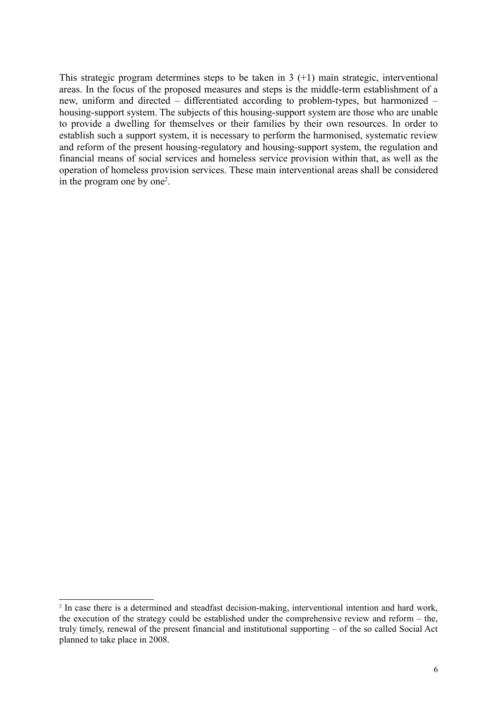This strategic program determines steps to be taken in  $3 (+1)$  main strategic, interventional areas. In the focus of the proposed measures and steps is the middle-term establishment of a new, uniform and directed – differentiated according to problem-types, but harmonized – housing-support system. The subjects of this housing-support system are those who are unable to provide a dwelling for themselves or their families by their own resources. In order to establish such a support system, it is necessary to perform the harmonised, systematic review and reform of the present housing-regulatory and housing-support system, the regulation and financial means of social services and homeless service provision within that, as well as the operation of homeless provision services. These main interventional areas shall be considered in the program one by one<sup>[2](#page-5-0)</sup>.

<span id="page-5-0"></span><sup>&</sup>lt;sup>2</sup> In case there is a determined and steadfast decision-making, interventional intention and hard work, the execution of the strategy could be established under the comprehensive review and reform – the, truly timely, renewal of the present financial and institutional supporting – of the so called Social Act planned to take place in 2008.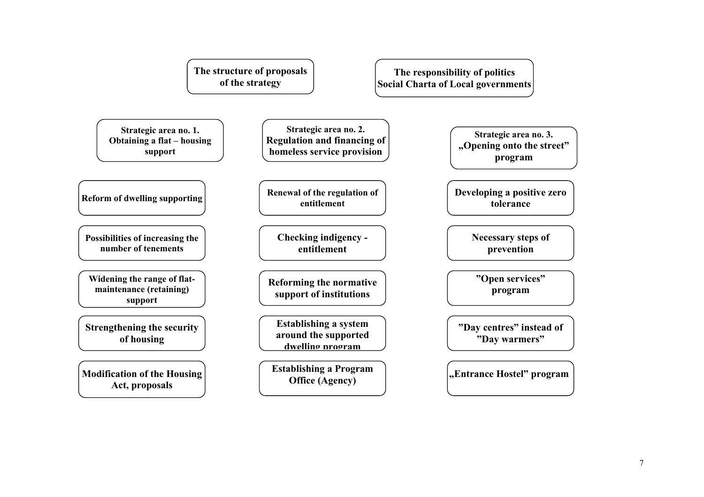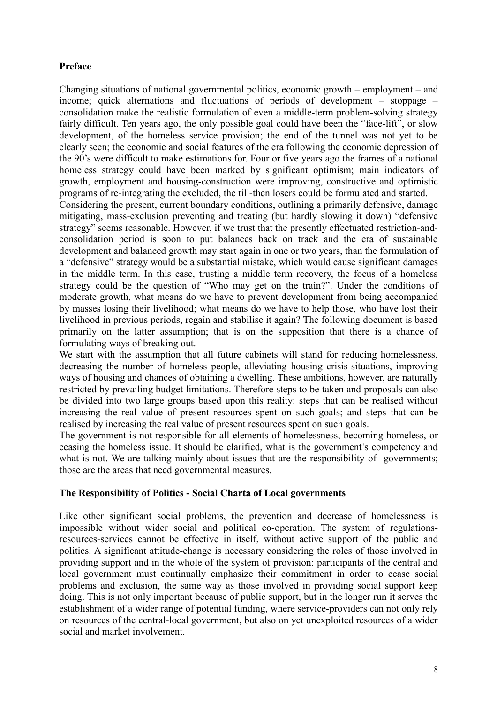## **Preface**

Changing situations of national governmental politics, economic growth – employment – and income; quick alternations and fluctuations of periods of development – stoppage – consolidation make the realistic formulation of even a middle-term problem-solving strategy fairly difficult. Ten years ago, the only possible goal could have been the "face-lift", or slow development, of the homeless service provision; the end of the tunnel was not yet to be clearly seen; the economic and social features of the era following the economic depression of the 90's were difficult to make estimations for. Four or five years ago the frames of a national homeless strategy could have been marked by significant optimism; main indicators of growth, employment and housing-construction were improving, constructive and optimistic programs of re-integrating the excluded, the till-then losers could be formulated and started.

Considering the present, current boundary conditions, outlining a primarily defensive, damage mitigating, mass-exclusion preventing and treating (but hardly slowing it down) "defensive strategy" seems reasonable. However, if we trust that the presently effectuated restriction-andconsolidation period is soon to put balances back on track and the era of sustainable development and balanced growth may start again in one or two years, than the formulation of a "defensive" strategy would be a substantial mistake, which would cause significant damages in the middle term. In this case, trusting a middle term recovery, the focus of a homeless strategy could be the question of "Who may get on the train?". Under the conditions of moderate growth, what means do we have to prevent development from being accompanied by masses losing their livelihood; what means do we have to help those, who have lost their livelihood in previous periods, regain and stabilise it again? The following document is based primarily on the latter assumption; that is on the supposition that there is a chance of formulating ways of breaking out.

We start with the assumption that all future cabinets will stand for reducing homelessness, decreasing the number of homeless people, alleviating housing crisis-situations, improving ways of housing and chances of obtaining a dwelling. These ambitions, however, are naturally restricted by prevailing budget limitations. Therefore steps to be taken and proposals can also be divided into two large groups based upon this reality: steps that can be realised without increasing the real value of present resources spent on such goals; and steps that can be realised by increasing the real value of present resources spent on such goals.

The government is not responsible for all elements of homelessness, becoming homeless, or ceasing the homeless issue. It should be clarified, what is the government's competency and what is not. We are talking mainly about issues that are the responsibility of governments; those are the areas that need governmental measures.

#### **The Responsibility of Politics - Social Charta of Local governments**

Like other significant social problems, the prevention and decrease of homelessness is impossible without wider social and political co-operation. The system of regulationsresources-services cannot be effective in itself, without active support of the public and politics. A significant attitude-change is necessary considering the roles of those involved in providing support and in the whole of the system of provision: participants of the central and local government must continually emphasize their commitment in order to cease social problems and exclusion, the same way as those involved in providing social support keep doing. This is not only important because of public support, but in the longer run it serves the establishment of a wider range of potential funding, where service-providers can not only rely on resources of the central-local government, but also on yet unexploited resources of a wider social and market involvement.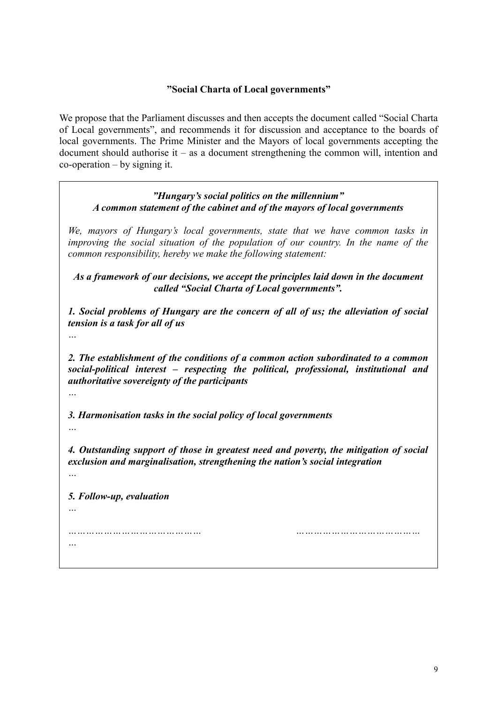## **"Social Charta of Local governments"**

We propose that the Parliament discusses and then accepts the document called "Social Charta of Local governments", and recommends it for discussion and acceptance to the boards of local governments. The Prime Minister and the Mayors of local governments accepting the document should authorise it – as a document strengthening the common will, intention and co-operation – by signing it.

*"Hungary's social politics on the millennium" A common statement of the cabinet and of the mayors of local governments*

*We, mayors of Hungary's local governments, state that we have common tasks in improving the social situation of the population of our country. In the name of the common responsibility, hereby we make the following statement:*

*As a framework of our decisions, we accept the principles laid down in the document called "Social Charta of Local governments".*

*1. Social problems of Hungary are the concern of all of us; the alleviation of social tension is a task for all of us*

*…*

*2. The establishment of the conditions of a common action subordinated to a common social-political interest – respecting the political, professional, institutional and authoritative sovereignty of the participants*

*3. Harmonisation tasks in the social policy of local governments*

*4. Outstanding support of those in greatest need and poverty, the mitigation of social exclusion and marginalisation, strengthening the nation's social integration*

*…*

*5. Follow-up, evaluation*

*…*

*…*

*……………………………………… ……………………………………*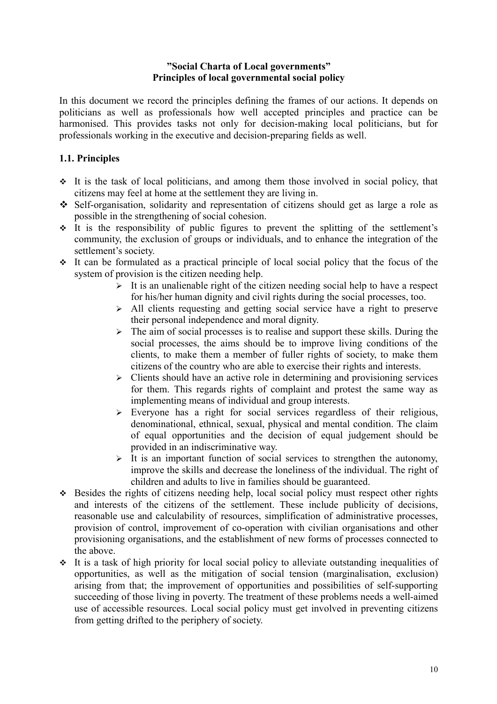## **"Social Charta of Local governments" Principles of local governmental social policy**

In this document we record the principles defining the frames of our actions. It depends on politicians as well as professionals how well accepted principles and practice can be harmonised. This provides tasks not only for decision-making local politicians, but for professionals working in the executive and decision-preparing fields as well.

# **1.1. Principles**

- $\cdot$  It is the task of local politicians, and among them those involved in social policy, that citizens may feel at home at the settlement they are living in.
- Self-organisation, solidarity and representation of citizens should get as large a role as possible in the strengthening of social cohesion.
- $\cdot$  It is the responsibility of public figures to prevent the splitting of the settlement's community, the exclusion of groups or individuals, and to enhance the integration of the settlement's society.
- $\cdot$  It can be formulated as a practical principle of local social policy that the focus of the system of provision is the citizen needing help.
	- $\triangleright$  It is an unalienable right of the citizen needing social help to have a respect for his/her human dignity and civil rights during the social processes, too.
	- $\ge$  All clients requesting and getting social service have a right to preserve their personal independence and moral dignity.
	- $\triangleright$  The aim of social processes is to realise and support these skills. During the social processes, the aims should be to improve living conditions of the clients, to make them a member of fuller rights of society, to make them citizens of the country who are able to exercise their rights and interests.
	- $\geq$  Clients should have an active role in determining and provisioning services for them. This regards rights of complaint and protest the same way as implementing means of individual and group interests.
	- $\triangleright$  Everyone has a right for social services regardless of their religious, denominational, ethnical, sexual, physical and mental condition. The claim of equal opportunities and the decision of equal judgement should be provided in an indiscriminative way.
	- $\triangleright$  It is an important function of social services to strengthen the autonomy, improve the skills and decrease the loneliness of the individual. The right of children and adults to live in families should be guaranteed.
- Besides the rights of citizens needing help, local social policy must respect other rights and interests of the citizens of the settlement. These include publicity of decisions, reasonable use and calculability of resources, simplification of administrative processes, provision of control, improvement of co-operation with civilian organisations and other provisioning organisations, and the establishment of new forms of processes connected to the above.
- $\cdot$  It is a task of high priority for local social policy to alleviate outstanding inequalities of opportunities, as well as the mitigation of social tension (marginalisation, exclusion) arising from that; the improvement of opportunities and possibilities of self-supporting succeeding of those living in poverty. The treatment of these problems needs a well-aimed use of accessible resources. Local social policy must get involved in preventing citizens from getting drifted to the periphery of society.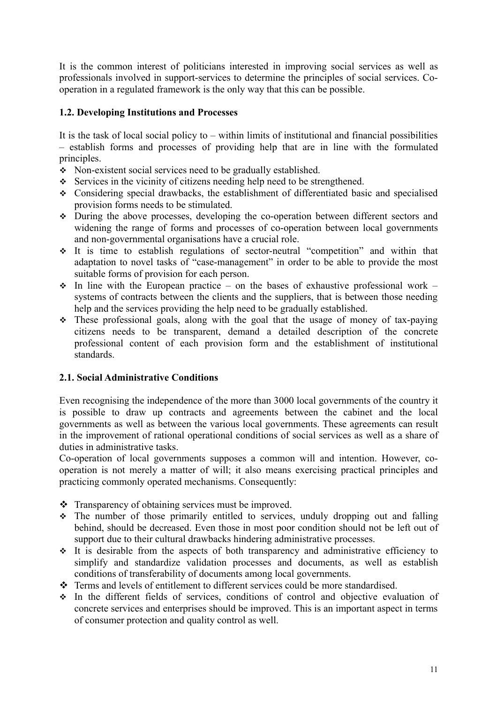It is the common interest of politicians interested in improving social services as well as professionals involved in support-services to determine the principles of social services. Cooperation in a regulated framework is the only way that this can be possible.

# **1.2. Developing Institutions and Processes**

It is the task of local social policy to – within limits of institutional and financial possibilities – establish forms and processes of providing help that are in line with the formulated principles.

- Non-existent social services need to be gradually established.
- Services in the vicinity of citizens needing help need to be strengthened.
- Considering special drawbacks, the establishment of differentiated basic and specialised provision forms needs to be stimulated.
- During the above processes, developing the co-operation between different sectors and widening the range of forms and processes of co-operation between local governments and non-governmental organisations have a crucial role.
- It is time to establish regulations of sector-neutral "competition" and within that adaptation to novel tasks of "case-management" in order to be able to provide the most suitable forms of provision for each person.
- $\cdot$  In line with the European practice on the bases of exhaustive professional work systems of contracts between the clients and the suppliers, that is between those needing help and the services providing the help need to be gradually established.
- These professional goals, along with the goal that the usage of money of tax-paying citizens needs to be transparent, demand a detailed description of the concrete professional content of each provision form and the establishment of institutional standards.

## **2.1. Social Administrative Conditions**

Even recognising the independence of the more than 3000 local governments of the country it is possible to draw up contracts and agreements between the cabinet and the local governments as well as between the various local governments. These agreements can result in the improvement of rational operational conditions of social services as well as a share of duties in administrative tasks.

Co-operation of local governments supposes a common will and intention. However, cooperation is not merely a matter of will; it also means exercising practical principles and practicing commonly operated mechanisms. Consequently:

- Transparency of obtaining services must be improved.
- The number of those primarily entitled to services, unduly dropping out and falling behind, should be decreased. Even those in most poor condition should not be left out of support due to their cultural drawbacks hindering administrative processes.
- $\cdot$  It is desirable from the aspects of both transparency and administrative efficiency to simplify and standardize validation processes and documents, as well as establish conditions of transferability of documents among local governments.
- Terms and levels of entitlement to different services could be more standardised.
- In the different fields of services, conditions of control and objective evaluation of concrete services and enterprises should be improved. This is an important aspect in terms of consumer protection and quality control as well.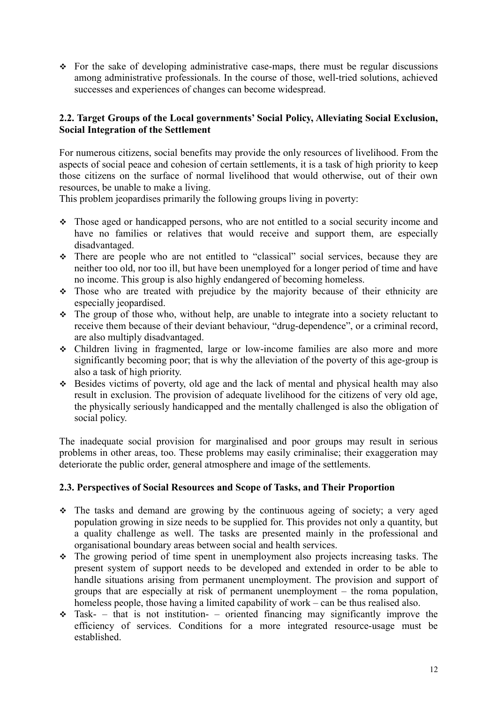$\div$  For the sake of developing administrative case-maps, there must be regular discussions among administrative professionals. In the course of those, well-tried solutions, achieved successes and experiences of changes can become widespread.

# **2.2. Target Groups of the Local governments' Social Policy, Alleviating Social Exclusion, Social Integration of the Settlement**

For numerous citizens, social benefits may provide the only resources of livelihood. From the aspects of social peace and cohesion of certain settlements, it is a task of high priority to keep those citizens on the surface of normal livelihood that would otherwise, out of their own resources, be unable to make a living.

This problem jeopardises primarily the following groups living in poverty:

- Those aged or handicapped persons, who are not entitled to a social security income and have no families or relatives that would receive and support them, are especially disadvantaged.
- There are people who are not entitled to "classical" social services, because they are neither too old, nor too ill, but have been unemployed for a longer period of time and have no income. This group is also highly endangered of becoming homeless.
- Those who are treated with prejudice by the majority because of their ethnicity are especially jeopardised.
- $\hat{\cdot}$  The group of those who, without help, are unable to integrate into a society reluctant to receive them because of their deviant behaviour, "drug-dependence", or a criminal record, are also multiply disadvantaged.
- Children living in fragmented, large or low-income families are also more and more significantly becoming poor; that is why the alleviation of the poverty of this age-group is also a task of high priority.
- $\bullet$  Besides victims of poverty, old age and the lack of mental and physical health may also result in exclusion. The provision of adequate livelihood for the citizens of very old age, the physically seriously handicapped and the mentally challenged is also the obligation of social policy.

The inadequate social provision for marginalised and poor groups may result in serious problems in other areas, too. These problems may easily criminalise; their exaggeration may deteriorate the public order, general atmosphere and image of the settlements.

## **2.3. Perspectives of Social Resources and Scope of Tasks, and Their Proportion**

- The tasks and demand are growing by the continuous ageing of society; a very aged population growing in size needs to be supplied for. This provides not only a quantity, but a quality challenge as well. The tasks are presented mainly in the professional and organisational boundary areas between social and health services.
- The growing period of time spent in unemployment also projects increasing tasks. The present system of support needs to be developed and extended in order to be able to handle situations arising from permanent unemployment. The provision and support of groups that are especially at risk of permanent unemployment – the roma population, homeless people, those having a limited capability of work – can be thus realised also.
- $\div$  Task- that is not institution- oriented financing may significantly improve the efficiency of services. Conditions for a more integrated resource-usage must be established.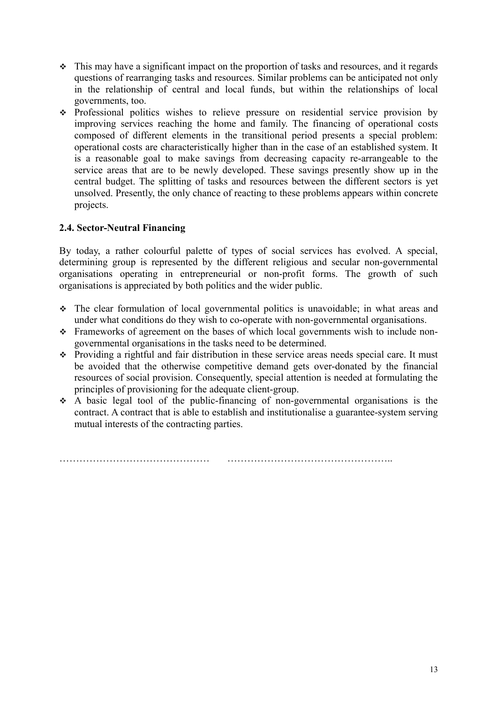- This may have a significant impact on the proportion of tasks and resources, and it regards questions of rearranging tasks and resources. Similar problems can be anticipated not only in the relationship of central and local funds, but within the relationships of local governments, too.
- Professional politics wishes to relieve pressure on residential service provision by improving services reaching the home and family. The financing of operational costs composed of different elements in the transitional period presents a special problem: operational costs are characteristically higher than in the case of an established system. It is a reasonable goal to make savings from decreasing capacity re-arrangeable to the service areas that are to be newly developed. These savings presently show up in the central budget. The splitting of tasks and resources between the different sectors is yet unsolved. Presently, the only chance of reacting to these problems appears within concrete projects.

# **2.4. Sector-Neutral Financing**

By today, a rather colourful palette of types of social services has evolved. A special, determining group is represented by the different religious and secular non-governmental organisations operating in entrepreneurial or non-profit forms. The growth of such organisations is appreciated by both politics and the wider public.

- The clear formulation of local governmental politics is unavoidable; in what areas and under what conditions do they wish to co-operate with non-governmental organisations.
- Frameworks of agreement on the bases of which local governments wish to include nongovernmental organisations in the tasks need to be determined.
- Providing a rightful and fair distribution in these service areas needs special care. It must be avoided that the otherwise competitive demand gets over-donated by the financial resources of social provision. Consequently, special attention is needed at formulating the principles of provisioning for the adequate client-group.
- $\div$  A basic legal tool of the public-financing of non-governmental organisations is the contract. A contract that is able to establish and institutionalise a guarantee-system serving mutual interests of the contracting parties.

……………………………………… …………………………………………..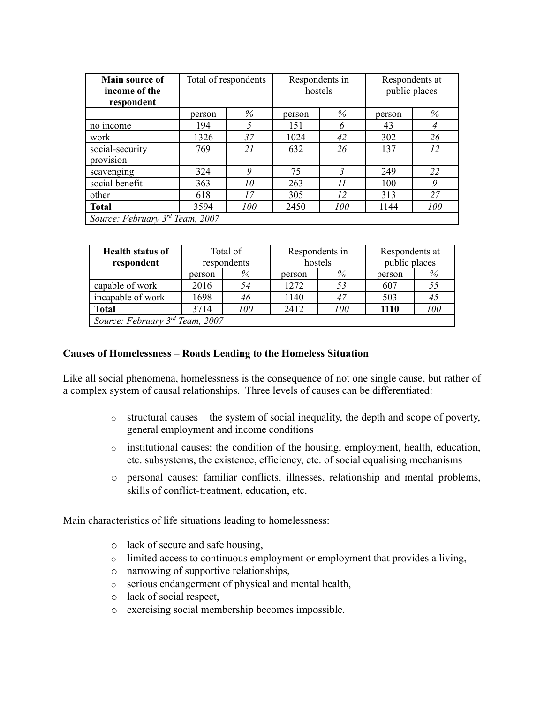| Main source of<br>income of the<br>respondent | Total of respondents |     | Respondents in<br>hostels |      | Respondents at<br>public places |                |
|-----------------------------------------------|----------------------|-----|---------------------------|------|---------------------------------|----------------|
|                                               | person               | %   | person                    | $\%$ | person                          | %              |
| no income                                     | 194                  | 5   | 151                       | 6    | 43                              | $\overline{A}$ |
| work                                          | 1326                 | 37  | 1024                      | 42   | 302                             | 26             |
| social-security<br>provision                  | 769                  | 21  | 632                       | 26   | 137                             | 12             |
| scavenging                                    | 324                  | 9   | 75                        |      | 249                             | 22             |
| social benefit                                | 363                  | 10  | 263                       | 11   | 100                             | 9              |
| other                                         | 618                  | 17  | 305                       | 12   | 313                             | 27             |
| <b>Total</b>                                  | 3594                 | 100 | 2450                      | 100  | 1144                            | 100            |
| Source: February $3rd$ Team, 2007             |                      |     |                           |      |                                 |                |

| <b>Health status of</b>         | Total of    |     |         | Respondents in | Respondents at |     |
|---------------------------------|-------------|-----|---------|----------------|----------------|-----|
| respondent                      | respondents |     | hostels |                | public places  |     |
|                                 | %<br>person |     | person  | %              | person         | %   |
| capable of work                 | 2016        | 54  | 1272    |                | 607            | 55  |
| incapable of work               | 1698        | 46  | 1140    |                | 503            | 45  |
| <b>Total</b>                    | 3714        | 100 | 2412    | 100            | 1110           | 100 |
| Source: February 3rd Team, 2007 |             |     |         |                |                |     |

## **Causes of Homelessness – Roads Leading to the Homeless Situation**

Like all social phenomena, homelessness is the consequence of not one single cause, but rather of a complex system of causal relationships. Three levels of causes can be differentiated:

- o structural causes the system of social inequality, the depth and scope of poverty, general employment and income conditions
- o institutional causes: the condition of the housing, employment, health, education, etc. subsystems, the existence, efficiency, etc. of social equalising mechanisms
- o personal causes: familiar conflicts, illnesses, relationship and mental problems, skills of conflict-treatment, education, etc.

Main characteristics of life situations leading to homelessness:

- o lack of secure and safe housing,
- o limited access to continuous employment or employment that provides a living,
- o narrowing of supportive relationships,
- o serious endangerment of physical and mental health,
- o lack of social respect,
- o exercising social membership becomes impossible.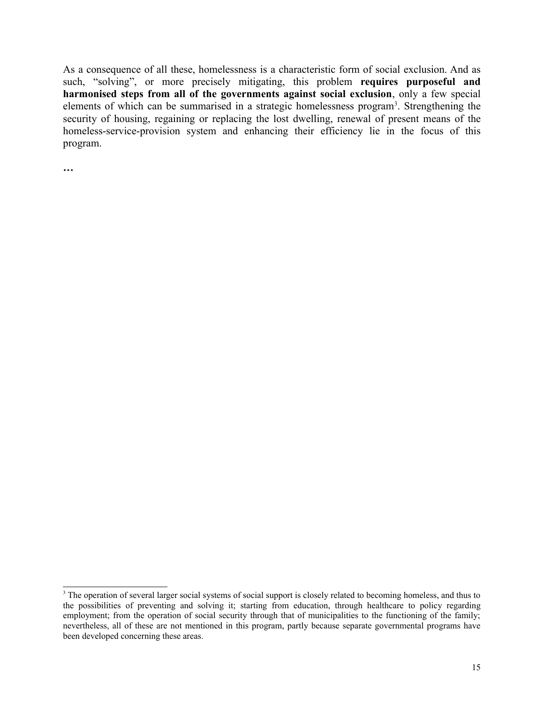As a consequence of all these, homelessness is a characteristic form of social exclusion. And as such, "solving", or more precisely mitigating, this problem **requires purposeful and harmonised steps from all of the governments against social exclusion**, only a few special elements of which can be summarised in a strategic homelessness program<sup>[3](#page-14-0)</sup>. Strengthening the security of housing, regaining or replacing the lost dwelling, renewal of present means of the homeless-service-provision system and enhancing their efficiency lie in the focus of this program.

**…**

<span id="page-14-0"></span><sup>&</sup>lt;sup>3</sup> The operation of several larger social systems of social support is closely related to becoming homeless, and thus to the possibilities of preventing and solving it; starting from education, through healthcare to policy regarding employment; from the operation of social security through that of municipalities to the functioning of the family; nevertheless, all of these are not mentioned in this program, partly because separate governmental programs have been developed concerning these areas.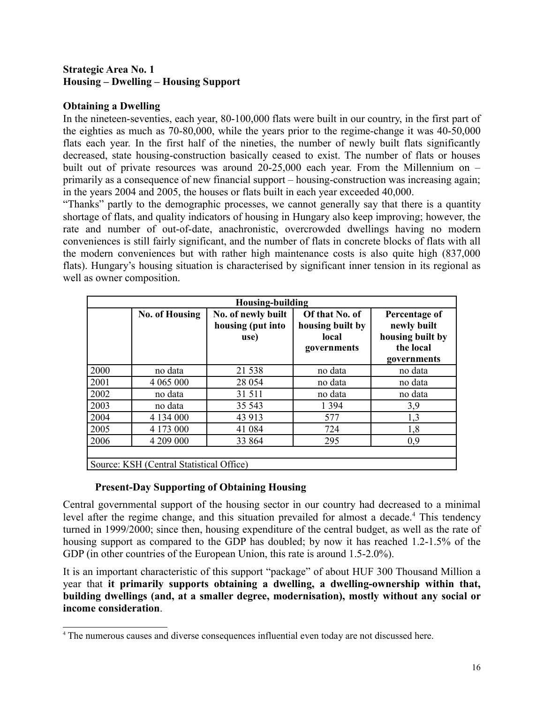## **Strategic Area No. 1 Housing – Dwelling – Housing Support**

## **Obtaining a Dwelling**

In the nineteen-seventies, each year, 80-100,000 flats were built in our country, in the first part of the eighties as much as 70-80,000, while the years prior to the regime-change it was 40-50,000 flats each year. In the first half of the nineties, the number of newly built flats significantly decreased, state housing-construction basically ceased to exist. The number of flats or houses built out of private resources was around 20-25,000 each year. From the Millennium on – primarily as a consequence of new financial support – housing-construction was increasing again; in the years 2004 and 2005, the houses or flats built in each year exceeded 40,000.

"Thanks" partly to the demographic processes, we cannot generally say that there is a quantity shortage of flats, and quality indicators of housing in Hungary also keep improving; however, the rate and number of out-of-date, anachronistic, overcrowded dwellings having no modern conveniences is still fairly significant, and the number of flats in concrete blocks of flats with all the modern conveniences but with rather high maintenance costs is also quite high (837,000 flats). Hungary's housing situation is characterised by significant inner tension in its regional as well as owner composition.

| <b>Housing-building</b>                  |                       |                                                 |                                                            |                                                                              |  |
|------------------------------------------|-----------------------|-------------------------------------------------|------------------------------------------------------------|------------------------------------------------------------------------------|--|
|                                          | <b>No. of Housing</b> | No. of newly built<br>housing (put into<br>use) | Of that No. of<br>housing built by<br>local<br>governments | Percentage of<br>newly built<br>housing built by<br>the local<br>governments |  |
| 2000                                     | no data               | 21 538                                          | no data                                                    | no data                                                                      |  |
| 2001                                     | 4 0 6 5 0 0 0         | 28 0 54                                         | no data                                                    | no data                                                                      |  |
| 2002                                     | no data               | 31 511                                          | no data                                                    | no data                                                                      |  |
| 2003                                     | no data               | 35 543                                          | 1 3 9 4                                                    | 3,9                                                                          |  |
| 2004                                     | 4 134 000             | 43 913                                          | 577                                                        | 1,3                                                                          |  |
| 2005                                     | 4 173 000             | 41 084                                          | 724                                                        | 1,8                                                                          |  |
| 2006                                     | 4 209 000             | 33 864                                          | 295                                                        | 0,9                                                                          |  |
| Source: KSH (Central Statistical Office) |                       |                                                 |                                                            |                                                                              |  |

# **Present-Day Supporting of Obtaining Housing**

Central governmental support of the housing sector in our country had decreased to a minimal level after the regime change, and this situation prevailed for almost a decade.<sup>[4](#page-15-0)</sup> This tendency turned in 1999/2000; since then, housing expenditure of the central budget, as well as the rate of housing support as compared to the GDP has doubled; by now it has reached 1.2-1.5% of the GDP (in other countries of the European Union, this rate is around 1.5-2.0%).

It is an important characteristic of this support "package" of about HUF 300 Thousand Million a year that **it primarily supports obtaining a dwelling, a dwelling-ownership within that, building dwellings (and, at a smaller degree, modernisation), mostly without any social or income consideration**.

<span id="page-15-0"></span><sup>4</sup> The numerous causes and diverse consequences influential even today are not discussed here.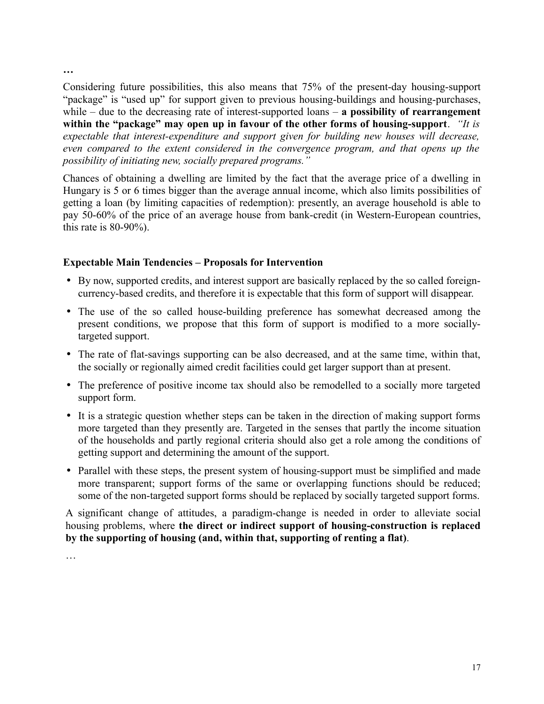**…**

Considering future possibilities, this also means that 75% of the present-day housing-support "package" is "used up" for support given to previous housing-buildings and housing-purchases, while – due to the decreasing rate of interest-supported loans – **a possibility of rearrangement within the "package" may open up in favour of the other forms of housing-support**. *"It is expectable that interest-expenditure and support given for building new houses will decrease, even compared to the extent considered in the convergence program, and that opens up the possibility of initiating new, socially prepared programs."*

Chances of obtaining a dwelling are limited by the fact that the average price of a dwelling in Hungary is 5 or 6 times bigger than the average annual income, which also limits possibilities of getting a loan (by limiting capacities of redemption): presently, an average household is able to pay 50-60% of the price of an average house from bank-credit (in Western-European countries, this rate is  $80-90\%$ ).

# **Expectable Main Tendencies – Proposals for Intervention**

- By now, supported credits, and interest support are basically replaced by the so called foreigncurrency-based credits, and therefore it is expectable that this form of support will disappear.
- The use of the so called house-building preference has somewhat decreased among the present conditions, we propose that this form of support is modified to a more sociallytargeted support.
- The rate of flat-savings supporting can be also decreased, and at the same time, within that, the socially or regionally aimed credit facilities could get larger support than at present.
- The preference of positive income tax should also be remodelled to a socially more targeted support form.
- It is a strategic question whether steps can be taken in the direction of making support forms more targeted than they presently are. Targeted in the senses that partly the income situation of the households and partly regional criteria should also get a role among the conditions of getting support and determining the amount of the support.
- Parallel with these steps, the present system of housing-support must be simplified and made more transparent; support forms of the same or overlapping functions should be reduced; some of the non-targeted support forms should be replaced by socially targeted support forms.

A significant change of attitudes, a paradigm-change is needed in order to alleviate social housing problems, where **the direct or indirect support of housing-construction is replaced by the supporting of housing (and, within that, supporting of renting a flat)**.

…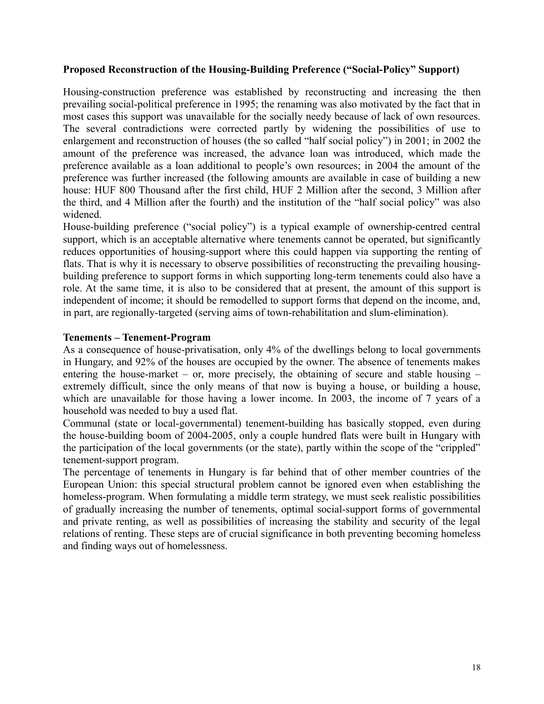## **Proposed Reconstruction of the Housing-Building Preference ("Social-Policy" Support)**

Housing-construction preference was established by reconstructing and increasing the then prevailing social-political preference in 1995; the renaming was also motivated by the fact that in most cases this support was unavailable for the socially needy because of lack of own resources. The several contradictions were corrected partly by widening the possibilities of use to enlargement and reconstruction of houses (the so called "half social policy") in 2001; in 2002 the amount of the preference was increased, the advance loan was introduced, which made the preference available as a loan additional to people's own resources; in 2004 the amount of the preference was further increased (the following amounts are available in case of building a new house: HUF 800 Thousand after the first child, HUF 2 Million after the second, 3 Million after the third, and 4 Million after the fourth) and the institution of the "half social policy" was also widened.

House-building preference ("social policy") is a typical example of ownership-centred central support, which is an acceptable alternative where tenements cannot be operated, but significantly reduces opportunities of housing-support where this could happen via supporting the renting of flats. That is why it is necessary to observe possibilities of reconstructing the prevailing housingbuilding preference to support forms in which supporting long-term tenements could also have a role. At the same time, it is also to be considered that at present, the amount of this support is independent of income; it should be remodelled to support forms that depend on the income, and, in part, are regionally-targeted (serving aims of town-rehabilitation and slum-elimination).

## **Tenements – Tenement-Program**

As a consequence of house-privatisation, only 4% of the dwellings belong to local governments in Hungary, and 92% of the houses are occupied by the owner. The absence of tenements makes entering the house-market – or, more precisely, the obtaining of secure and stable housing – extremely difficult, since the only means of that now is buying a house, or building a house, which are unavailable for those having a lower income. In 2003, the income of 7 years of a household was needed to buy a used flat.

Communal (state or local-governmental) tenement-building has basically stopped, even during the house-building boom of 2004-2005, only a couple hundred flats were built in Hungary with the participation of the local governments (or the state), partly within the scope of the "crippled" tenement-support program.

The percentage of tenements in Hungary is far behind that of other member countries of the European Union: this special structural problem cannot be ignored even when establishing the homeless-program. When formulating a middle term strategy, we must seek realistic possibilities of gradually increasing the number of tenements, optimal social-support forms of governmental and private renting, as well as possibilities of increasing the stability and security of the legal relations of renting. These steps are of crucial significance in both preventing becoming homeless and finding ways out of homelessness.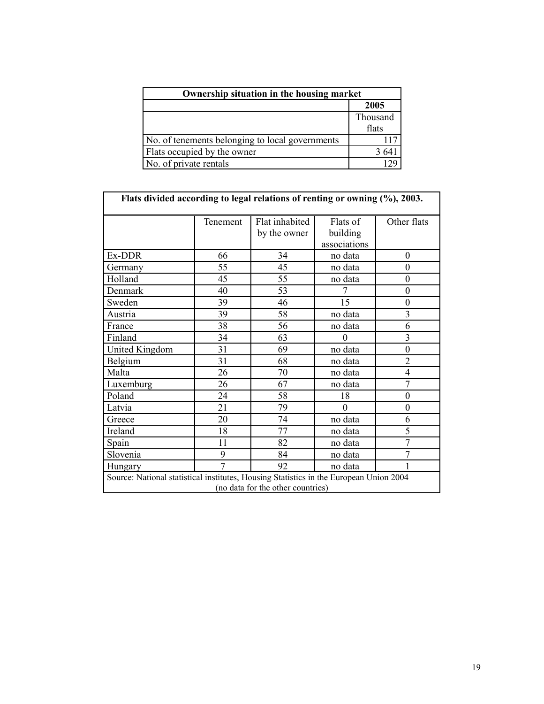| Ownership situation in the housing market       |          |  |  |  |
|-------------------------------------------------|----------|--|--|--|
|                                                 | 2005     |  |  |  |
|                                                 | Thousand |  |  |  |
|                                                 | flats    |  |  |  |
| No. of tenements belonging to local governments |          |  |  |  |
| Flats occupied by the owner                     | 3 64     |  |  |  |
| No. of private rentals                          |          |  |  |  |

| Flats divided according to legal relations of renting or owning (%), 2003.             |                |                                |                                      |                  |  |
|----------------------------------------------------------------------------------------|----------------|--------------------------------|--------------------------------------|------------------|--|
|                                                                                        | Tenement       | Flat inhabited<br>by the owner | Flats of<br>building<br>associations | Other flats      |  |
| Ex-DDR                                                                                 | 66             | 34                             | no data                              | $\boldsymbol{0}$ |  |
| Germany                                                                                | 55             | 45                             | no data                              | $\theta$         |  |
| Holland                                                                                | 45             | 55                             | no data                              | $\boldsymbol{0}$ |  |
| Denmark                                                                                | 40             | 53                             | 7                                    | $\boldsymbol{0}$ |  |
| Sweden                                                                                 | 39             | 46                             | 15                                   | $\boldsymbol{0}$ |  |
| Austria                                                                                | 39             | 58                             | no data                              | 3                |  |
| France                                                                                 | 38             | 56                             | no data                              | 6                |  |
| Finland                                                                                | 34             | 63                             | 0                                    | $\overline{3}$   |  |
| United Kingdom                                                                         | 31             | 69                             | no data                              | $\overline{0}$   |  |
| Belgium                                                                                | 31             | 68                             | no data                              | $\overline{2}$   |  |
| Malta                                                                                  | 26             | 70                             | no data                              | $\overline{4}$   |  |
| Luxemburg                                                                              | 26             | 67                             | no data                              | 7                |  |
| Poland                                                                                 | 24             | 58                             | 18                                   | $\overline{0}$   |  |
| Latvia                                                                                 | 21             | 79                             | $\overline{0}$                       | $\boldsymbol{0}$ |  |
| Greece                                                                                 | 20             | 74                             | no data                              | 6                |  |
| Ireland                                                                                | 18             | 77                             | no data                              | 5                |  |
| Spain                                                                                  | 11             | 82                             | no data                              | $\overline{7}$   |  |
| Slovenia                                                                               | 9              | 84                             | no data                              | 7                |  |
| Hungary                                                                                | $\overline{7}$ | 92                             | no data                              |                  |  |
| Source: National statistical institutes, Housing Statistics in the European Union 2004 |                |                                |                                      |                  |  |
| (no data for the other countries)                                                      |                |                                |                                      |                  |  |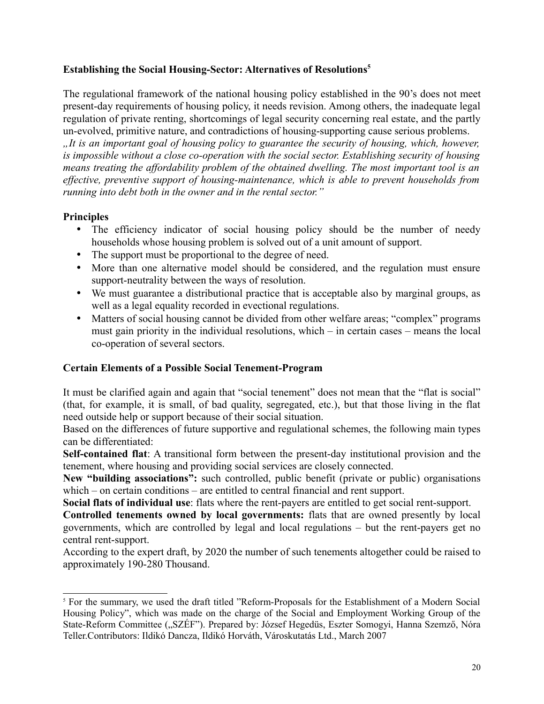## **Establishing the Social Housing-Sector: Alternatives of Resolutions[5](#page-19-0)**

The regulational framework of the national housing policy established in the 90's does not meet present-day requirements of housing policy, it needs revision. Among others, the inadequate legal regulation of private renting, shortcomings of legal security concerning real estate, and the partly un-evolved, primitive nature, and contradictions of housing-supporting cause serious problems.

*"It is an important goal of housing policy to guarantee the security of housing, which, however, is impossible without a close co-operation with the social sector. Establishing security of housing means treating the affordability problem of the obtained dwelling. The most important tool is an effective, preventive support of housing-maintenance, which is able to prevent households from running into debt both in the owner and in the rental sector."*

# **Principles**

- The efficiency indicator of social housing policy should be the number of needy households whose housing problem is solved out of a unit amount of support.
- The support must be proportional to the degree of need.
- More than one alternative model should be considered, and the regulation must ensure support-neutrality between the ways of resolution.
- We must guarantee a distributional practice that is acceptable also by marginal groups, as well as a legal equality recorded in evectional regulations.
- Matters of social housing cannot be divided from other welfare areas; "complex" programs must gain priority in the individual resolutions, which – in certain cases – means the local co-operation of several sectors.

## **Certain Elements of a Possible Social Tenement-Program**

It must be clarified again and again that "social tenement" does not mean that the "flat is social" (that, for example, it is small, of bad quality, segregated, etc.), but that those living in the flat need outside help or support because of their social situation.

Based on the differences of future supportive and regulational schemes, the following main types can be differentiated:

**Self-contained flat**: A transitional form between the present-day institutional provision and the tenement, where housing and providing social services are closely connected.

**New "building associations":** such controlled, public benefit (private or public) organisations which – on certain conditions – are entitled to central financial and rent support.

**Social flats of individual use**: flats where the rent-payers are entitled to get social rent-support.

**Controlled tenements owned by local governments:** flats that are owned presently by local governments, which are controlled by legal and local regulations – but the rent-payers get no central rent-support.

According to the expert draft, by 2020 the number of such tenements altogether could be raised to approximately 190-280 Thousand.

<span id="page-19-0"></span><sup>&</sup>lt;sup>5</sup> For the summary, we used the draft titled "Reform-Proposals for the Establishment of a Modern Social Housing Policy", which was made on the charge of the Social and Employment Working Group of the State-Reform Committee ("SZÉF"). Prepared by: József Hegedüs, Eszter Somogyi, Hanna Szemző, Nóra Teller.Contributors: Ildikó Dancza, Ildikó Horváth, Városkutatás Ltd., March 2007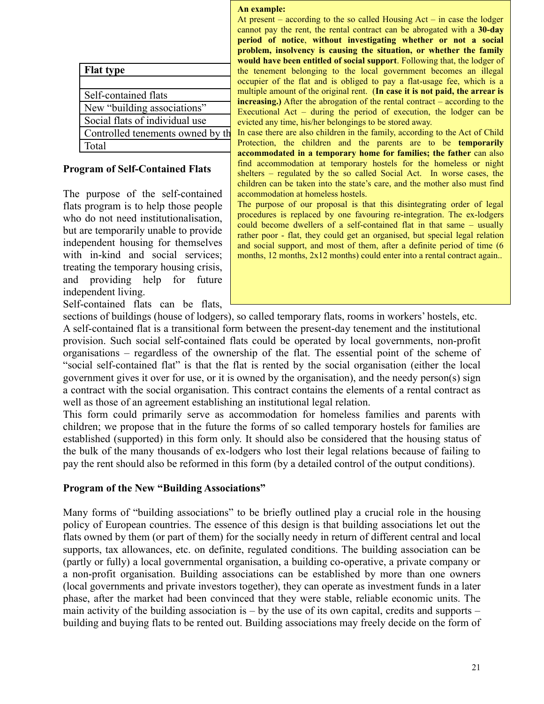| <b>Flat type</b>     |                                   |
|----------------------|-----------------------------------|
|                      |                                   |
| Self-contained flats |                                   |
|                      | New "building associations"       |
|                      | Social flats of individual use    |
|                      | Controlled tenements owned by the |
| Total                |                                   |

## **Program of Self-Contained Flats**

The purpose of the self-contained flats program is to help those people who do not need institutionalisation, but are temporarily unable to provide independent housing for themselves with in-kind and social services; treating the temporary housing crisis, and providing help for future independent living.

Self-contained flats can be flats,

#### **An example:**

**Flat type 2007 2007 2007 2008 2007 2008 2008 2008 2008 2008 2009 2009 2009 2009 2009 2009 2009 2009 2009 2009 2009 2009 2009 2009 2009 2009 2009 2009 2009 2009** occupier of the flat and is obliged to pay a flat-usage fee, which is a Self-contained flats multiple amount of the original rent. (In case it is not paid, the arrear is New "building associations" Executional Act – during the period of execution, the lodger can be Social flats of individual use  $\frac{1}{2}$  evicted any time, his/her belongings to be stored away. At present – according to the so called Housing  $Act - in case$  the lodger cannot pay the rent, the rental contract can be abrogated with a **30-day period of notice**, **without investigating whether or not a social problem, insolvency is causing the situation, or whether the family would have been entitled of social support**. Following that, the lodger of **increasing.**) After the abrogation of the rental contract – according to the

Controlled tenements owned by the ln case there are also children in the family, according to the Act of Child Total **1900-280-280-280-280** Protection, the children and the parents are to be **temporarily accommodated in a temporary home for families; the father** can also find accommodation at temporary hostels for the homeless or night shelters – regulated by the so called Social Act. In worse cases, the children can be taken into the state's care, and the mother also must find accommodation at homeless hostels.

> The purpose of our proposal is that this disintegrating order of legal procedures is replaced by one favouring re-integration. The ex-lodgers could become dwellers of a self-contained flat in that same – usually rather poor - flat, they could get an organised, but special legal relation and social support, and most of them, after a definite period of time (6 months, 12 months, 2x12 months) could enter into a rental contract again...

sections of buildings (house of lodgers), so called temporary flats, rooms in workers' hostels, etc. A self-contained flat is a transitional form between the present-day tenement and the institutional provision. Such social self-contained flats could be operated by local governments, non-profit organisations – regardless of the ownership of the flat. The essential point of the scheme of "social self-contained flat" is that the flat is rented by the social organisation (either the local government gives it over for use, or it is owned by the organisation), and the needy person(s) sign a contract with the social organisation. This contract contains the elements of a rental contract as well as those of an agreement establishing an institutional legal relation.

This form could primarily serve as accommodation for homeless families and parents with children; we propose that in the future the forms of so called temporary hostels for families are established (supported) in this form only. It should also be considered that the housing status of the bulk of the many thousands of ex-lodgers who lost their legal relations because of failing to pay the rent should also be reformed in this form (by a detailed control of the output conditions).

#### **Program of the New "Building Associations"**

Many forms of "building associations" to be briefly outlined play a crucial role in the housing policy of European countries. The essence of this design is that building associations let out the flats owned by them (or part of them) for the socially needy in return of different central and local supports, tax allowances, etc. on definite, regulated conditions. The building association can be (partly or fully) a local governmental organisation, a building co-operative, a private company or a non-profit organisation. Building associations can be established by more than one owners (local governments and private investors together), they can operate as investment funds in a later phase, after the market had been convinced that they were stable, reliable economic units. The main activity of the building association is  $-$  by the use of its own capital, credits and supports  $$ building and buying flats to be rented out. Building associations may freely decide on the form of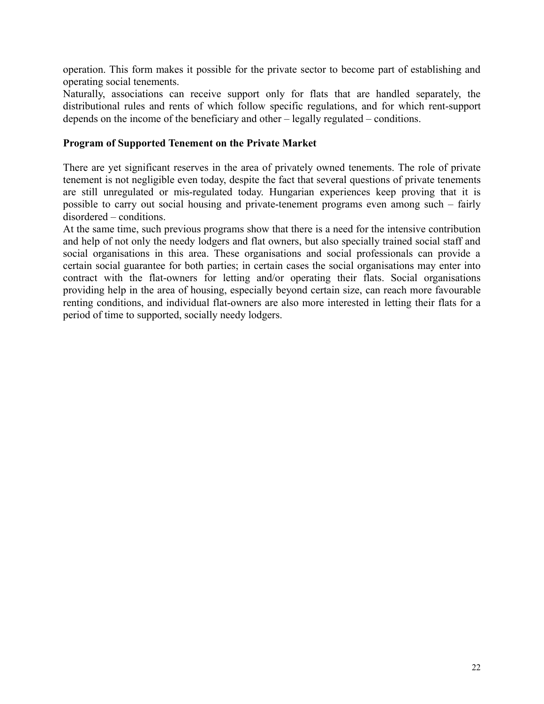operation. This form makes it possible for the private sector to become part of establishing and operating social tenements.

Naturally, associations can receive support only for flats that are handled separately, the distributional rules and rents of which follow specific regulations, and for which rent-support depends on the income of the beneficiary and other – legally regulated – conditions.

## **Program of Supported Tenement on the Private Market**

There are yet significant reserves in the area of privately owned tenements. The role of private tenement is not negligible even today, despite the fact that several questions of private tenements are still unregulated or mis-regulated today. Hungarian experiences keep proving that it is possible to carry out social housing and private-tenement programs even among such – fairly disordered – conditions.

At the same time, such previous programs show that there is a need for the intensive contribution and help of not only the needy lodgers and flat owners, but also specially trained social staff and social organisations in this area. These organisations and social professionals can provide a certain social guarantee for both parties; in certain cases the social organisations may enter into contract with the flat-owners for letting and/or operating their flats. Social organisations providing help in the area of housing, especially beyond certain size, can reach more favourable renting conditions, and individual flat-owners are also more interested in letting their flats for a period of time to supported, socially needy lodgers.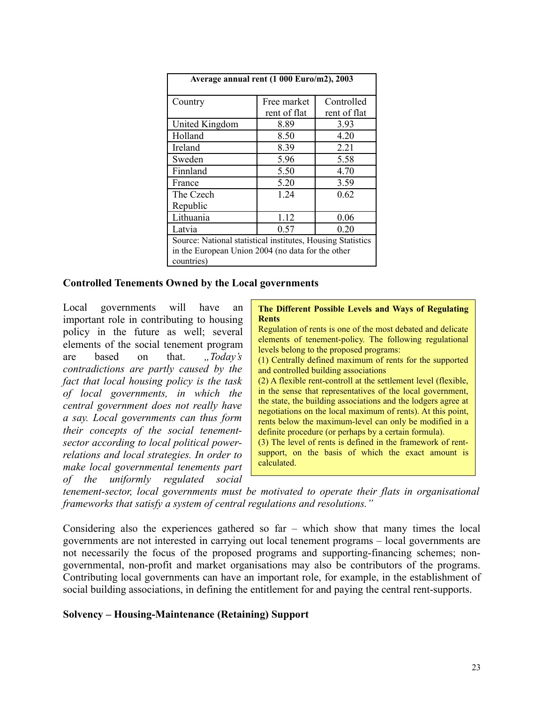| Average annual rent (1 000 Euro/m2), 2003                   |              |              |  |  |  |
|-------------------------------------------------------------|--------------|--------------|--|--|--|
| Country                                                     | Free market  | Controlled   |  |  |  |
|                                                             | rent of flat | rent of flat |  |  |  |
| United Kingdom                                              | 8.89         | 3.93         |  |  |  |
| Holland                                                     | 8.50         | 4.20         |  |  |  |
| Ireland                                                     | 8.39         | 2.21         |  |  |  |
| Sweden                                                      | 5.96         | 5.58         |  |  |  |
| Finnland                                                    | 5.50         | 4.70         |  |  |  |
| France                                                      | 5.20         | 3.59         |  |  |  |
| The Czech                                                   | 1 24         | 0.62         |  |  |  |
| Republic                                                    |              |              |  |  |  |
| Lithuania                                                   | 1.12         | 0.06         |  |  |  |
| 0.57<br>0.20<br>Latvia                                      |              |              |  |  |  |
| Source: National statistical institutes, Housing Statistics |              |              |  |  |  |
| in the European Union 2004 (no data for the other           |              |              |  |  |  |
| countries)                                                  |              |              |  |  |  |

#### **Controlled Tenements Owned by the Local governments**

Local governments will have an important role in contributing to housing policy in the future as well; several elements of the social tenement program are based on that. *"Today's contradictions are partly caused by the fact that local housing policy is the task of local governments, in which the central government does not really have a say. Local governments can thus form their concepts of the social tenementsector according to local political powerrelations and local strategies. In order to make local governmental tenements part of the uniformly regulated social*

#### **The Different Possible Levels and Ways of Regulating Rents**

Regulation of rents is one of the most debated and delicate elements of tenement-policy. The following regulational levels belong to the proposed programs:

(1) Centrally defined maximum of rents for the supported and controlled building associations

(2) A flexible rent-controll at the settlement level (flexible, in the sense that representatives of the local government, the state, the building associations and the lodgers agree at negotiations on the local maximum of rents). At this point, rents below the maximum-level can only be modified in a definite procedure (or perhaps by a certain formula).

(3) The level of rents is defined in the framework of rentsupport, on the basis of which the exact amount is calculated.

*tenement-sector, local governments must be motivated to operate their flats in organisational frameworks that satisfy a system of central regulations and resolutions."*

Considering also the experiences gathered so far – which show that many times the local governments are not interested in carrying out local tenement programs – local governments are not necessarily the focus of the proposed programs and supporting-financing schemes; nongovernmental, non-profit and market organisations may also be contributors of the programs. Contributing local governments can have an important role, for example, in the establishment of social building associations, in defining the entitlement for and paying the central rent-supports.

#### **Solvency – Housing-Maintenance (Retaining) Support**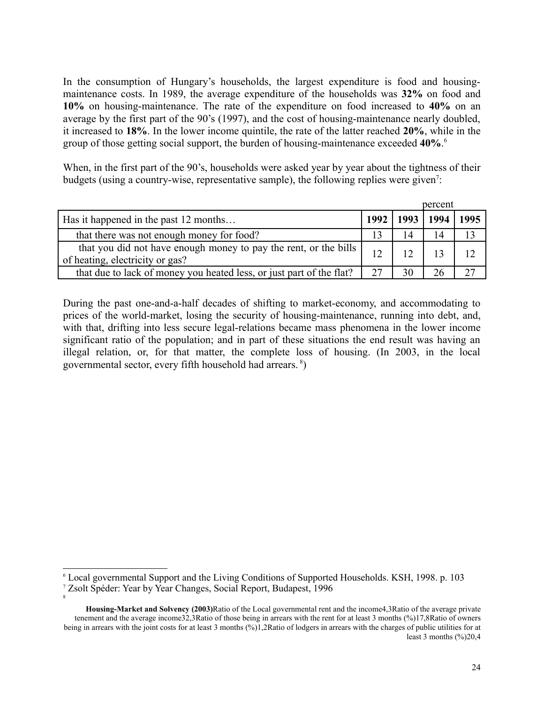In the consumption of Hungary's households, the largest expenditure is food and housingmaintenance costs. In 1989, the average expenditure of the households was **32%** on food and **10%** on housing-maintenance. The rate of the expenditure on food increased to **40%** on an average by the first part of the 90's (1997), and the cost of housing-maintenance nearly doubled, it increased to **18%**. In the lower income quintile, the rate of the latter reached **20%**, while in the group of those getting social support, the burden of housing-maintenance exceeded **40%**. [6](#page-23-0)

When, in the first part of the 90's, households were asked year by year about the tightness of their budgets (using a country-wise, representative sample), the following replies were given<sup>[7](#page-23-1)</sup>:

|                                                                                                       |    | percent            |      |
|-------------------------------------------------------------------------------------------------------|----|--------------------|------|
| Has it happened in the past 12 months                                                                 |    | 1992   1993   1994 | 1995 |
| that there was not enough money for food?                                                             |    | 14                 |      |
| that you did not have enough money to pay the rent, or the bills  <br>of heating, electricity or gas? | 12 |                    | 12   |
| that due to lack of money you heated less, or just part of the flat?                                  | 27 | 26                 |      |

During the past one-and-a-half decades of shifting to market-economy, and accommodating to prices of the world-market, losing the security of housing-maintenance, running into debt, and, with that, drifting into less secure legal-relations became mass phenomena in the lower income significant ratio of the population; and in part of these situations the end result was having an illegal relation, or, for that matter, the complete loss of housing. (In 2003, in the local governmental sector, every fifth household had arrears. [8](#page-23-2) )

<span id="page-23-2"></span>8

<span id="page-23-0"></span><sup>6</sup> Local governmental Support and the Living Conditions of Supported Households. KSH, 1998. p. 103

<span id="page-23-1"></span><sup>7</sup> Zsolt Spéder: Year by Year Changes, Social Report, Budapest, 1996

**Housing-Market and Solvency (2003)**Ratio of the Local governmental rent and the income4,3Ratio of the average private tenement and the average income32,3Ratio of those being in arrears with the rent for at least 3 months (%)17,8Ratio of owners being in arrears with the joint costs for at least 3 months (%)1,2Ratio of lodgers in arrears with the charges of public utilities for at least 3 months  $(\frac{6}{2})20,4$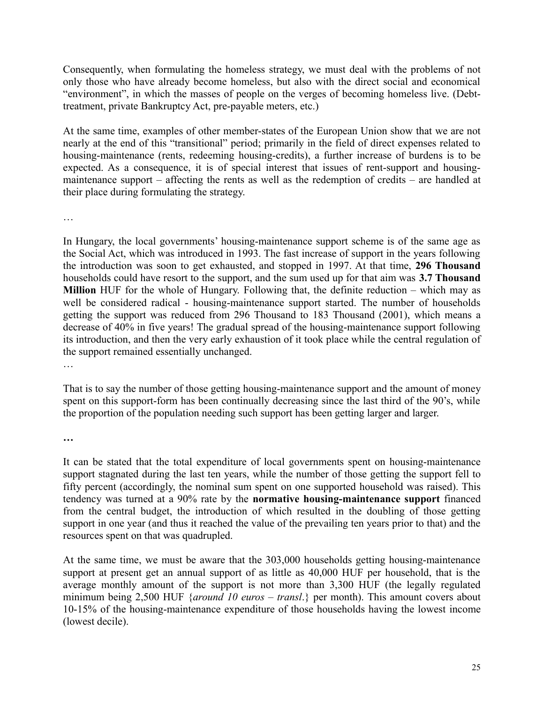Consequently, when formulating the homeless strategy, we must deal with the problems of not only those who have already become homeless, but also with the direct social and economical "environment", in which the masses of people on the verges of becoming homeless live. (Debttreatment, private Bankruptcy Act, pre-payable meters, etc.)

At the same time, examples of other member-states of the European Union show that we are not nearly at the end of this "transitional" period; primarily in the field of direct expenses related to housing-maintenance (rents, redeeming housing-credits), a further increase of burdens is to be expected. As a consequence, it is of special interest that issues of rent-support and housingmaintenance support – affecting the rents as well as the redemption of credits – are handled at their place during formulating the strategy.

…

In Hungary, the local governments' housing-maintenance support scheme is of the same age as the Social Act, which was introduced in 1993. The fast increase of support in the years following the introduction was soon to get exhausted, and stopped in 1997. At that time, **296 Thousand** households could have resort to the support, and the sum used up for that aim was **3.7 Thousand Million** HUF for the whole of Hungary. Following that, the definite reduction – which may as well be considered radical - housing-maintenance support started. The number of households getting the support was reduced from 296 Thousand to 183 Thousand (2001), which means a decrease of 40% in five years! The gradual spread of the housing-maintenance support following its introduction, and then the very early exhaustion of it took place while the central regulation of the support remained essentially unchanged.

…

That is to say the number of those getting housing-maintenance support and the amount of money spent on this support-form has been continually decreasing since the last third of the 90's, while the proportion of the population needing such support has been getting larger and larger.

**…**

It can be stated that the total expenditure of local governments spent on housing-maintenance support stagnated during the last ten years, while the number of those getting the support fell to fifty percent (accordingly, the nominal sum spent on one supported household was raised). This tendency was turned at a 90% rate by the **normative housing-maintenance support** financed from the central budget, the introduction of which resulted in the doubling of those getting support in one year (and thus it reached the value of the prevailing ten years prior to that) and the resources spent on that was quadrupled.

At the same time, we must be aware that the 303,000 households getting housing-maintenance support at present get an annual support of as little as 40,000 HUF per household, that is the average monthly amount of the support is not more than 3,300 HUF (the legally regulated minimum being 2,500 HUF {*around 10 euros – transl*.} per month). This amount covers about 10-15% of the housing-maintenance expenditure of those households having the lowest income (lowest decile).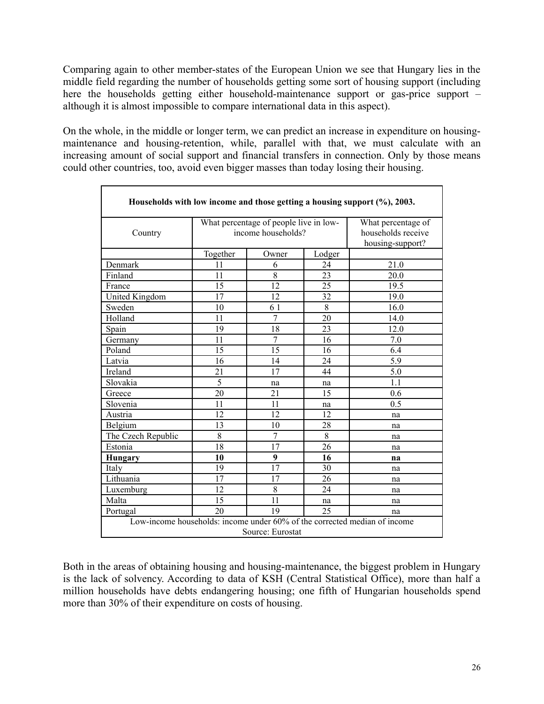Comparing again to other member-states of the European Union we see that Hungary lies in the middle field regarding the number of households getting some sort of housing support (including here the households getting either household-maintenance support or gas-price support – although it is almost impossible to compare international data in this aspect).

On the whole, in the middle or longer term, we can predict an increase in expenditure on housingmaintenance and housing-retention, while, parallel with that, we must calculate with an increasing amount of social support and financial transfers in connection. Only by those means could other countries, too, avoid even bigger masses than today losing their housing.

|                                                                                               |          |                |        | Households with low income and those getting a housing support (%), 2003. |  |
|-----------------------------------------------------------------------------------------------|----------|----------------|--------|---------------------------------------------------------------------------|--|
| What percentage of people live in low-<br>What percentage of                                  |          |                |        |                                                                           |  |
| income households?<br>Country                                                                 |          |                |        | households receive                                                        |  |
|                                                                                               |          |                |        | housing-support?                                                          |  |
|                                                                                               | Together | Owner          | Lodger |                                                                           |  |
| Denmark                                                                                       | 11       | 6              | 24     | 21.0                                                                      |  |
| Finland                                                                                       | 11       | 8              | 23     | 20.0                                                                      |  |
| France                                                                                        | 15       | 12             | 25     | 19.5                                                                      |  |
| United Kingdom                                                                                | 17       | 12             | 32     | 19.0                                                                      |  |
| Sweden                                                                                        | 10       | 6 1            | 8      | 16.0                                                                      |  |
| Holland                                                                                       | 11       | 7              | 20     | 14.0                                                                      |  |
| Spain                                                                                         | 19       | 18             | 23     | 12.0                                                                      |  |
| Germany                                                                                       | 11       | $\overline{7}$ | 16     | 7.0                                                                       |  |
| Poland                                                                                        | 15       | 15             | 16     | 6.4                                                                       |  |
| Latvia                                                                                        | 16       | 14             | 24     | 5.9                                                                       |  |
| Ireland                                                                                       | 21       | 17             | 44     | 5.0                                                                       |  |
| Slovakia                                                                                      | 5        | na             | na     | 1.1                                                                       |  |
| Greece                                                                                        | 20       | 21             | 15     | 0.6                                                                       |  |
| Slovenia                                                                                      | 11       | 11             | na     | 0.5                                                                       |  |
| Austria                                                                                       | 12       | 12             | 12     | na                                                                        |  |
| Belgium                                                                                       | 13       | 10             | 28     | na                                                                        |  |
| The Czech Republic                                                                            | 8        | 7              | 8      | na                                                                        |  |
| Estonia                                                                                       | 18       | 17             | 26     | na                                                                        |  |
| Hungary                                                                                       | 10       | 9              | 16     | na                                                                        |  |
| Italy                                                                                         | 19       | 17             | 30     | na                                                                        |  |
| Lithuania                                                                                     | 17       | 17             | 26     | na                                                                        |  |
| Luxemburg                                                                                     | 12       | 8              | 24     | na                                                                        |  |
| Malta                                                                                         | 15       | 11             | na     | na                                                                        |  |
| Portugal                                                                                      | 20       | 19             | 25     | na                                                                        |  |
| Low-income households: income under 60% of the corrected median of income<br>Source: Eurostat |          |                |        |                                                                           |  |

Both in the areas of obtaining housing and housing-maintenance, the biggest problem in Hungary is the lack of solvency. According to data of KSH (Central Statistical Office), more than half a million households have debts endangering housing; one fifth of Hungarian households spend more than 30% of their expenditure on costs of housing.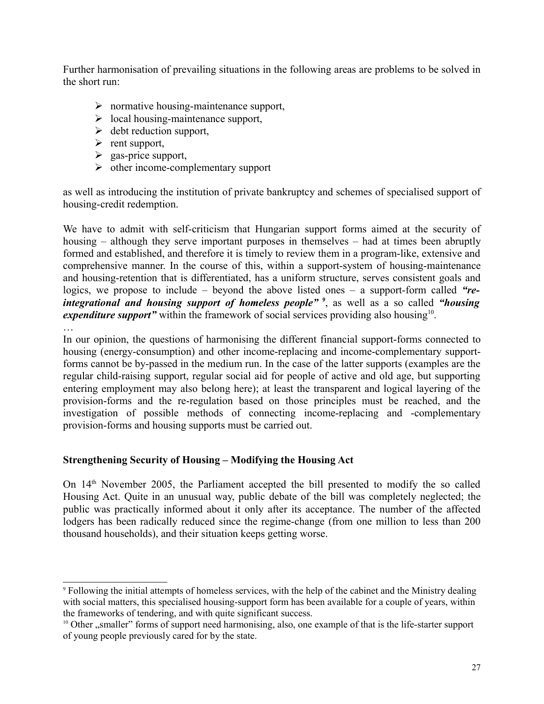Further harmonisation of prevailing situations in the following areas are problems to be solved in the short run:

- $\triangleright$  normative housing-maintenance support,
- $\triangleright$  local housing-maintenance support,
- $\triangleright$  debt reduction support,
- $\triangleright$  rent support,
- $\triangleright$  gas-price support,
- $\triangleright$  other income-complementary support

as well as introducing the institution of private bankruptcy and schemes of specialised support of housing-credit redemption.

We have to admit with self-criticism that Hungarian support forms aimed at the security of housing – although they serve important purposes in themselves – had at times been abruptly formed and established, and therefore it is timely to review them in a program-like, extensive and comprehensive manner. In the course of this, within a support-system of housing-maintenance and housing-retention that is differentiated, has a uniform structure, serves consistent goals and logics, we propose to include – beyond the above listed ones – a support-form called *"reintegrational and housing support of homeless people" [9](#page-26-0)* , as well as a so called *"housing* expenditure support" within the framework of social services providing also housing<sup>[10](#page-26-1)</sup>. …

In our opinion, the questions of harmonising the different financial support-forms connected to housing (energy-consumption) and other income-replacing and income-complementary supportforms cannot be by-passed in the medium run. In the case of the latter supports (examples are the regular child-raising support, regular social aid for people of active and old age, but supporting entering employment may also belong here); at least the transparent and logical layering of the provision-forms and the re-regulation based on those principles must be reached, and the investigation of possible methods of connecting income-replacing and -complementary provision-forms and housing supports must be carried out.

# **Strengthening Security of Housing – Modifying the Housing Act**

On 14th November 2005, the Parliament accepted the bill presented to modify the so called Housing Act. Quite in an unusual way, public debate of the bill was completely neglected; the public was practically informed about it only after its acceptance. The number of the affected lodgers has been radically reduced since the regime-change (from one million to less than 200 thousand households), and their situation keeps getting worse.

<span id="page-26-0"></span><sup>9</sup> Following the initial attempts of homeless services, with the help of the cabinet and the Ministry dealing with social matters, this specialised housing-support form has been available for a couple of years, within the frameworks of tendering, and with quite significant success.

<span id="page-26-1"></span><sup>&</sup>lt;sup>10</sup> Other "smaller" forms of support need harmonising, also, one example of that is the life-starter support of young people previously cared for by the state.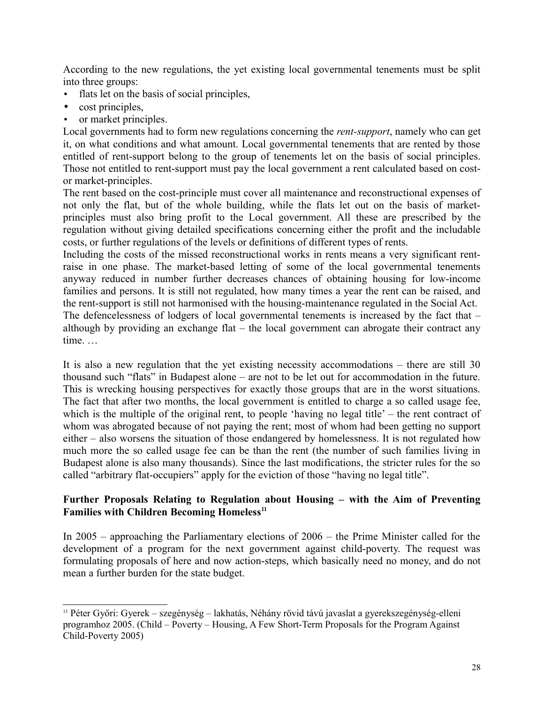According to the new regulations, the yet existing local governmental tenements must be split into three groups:

- flats let on the basis of social principles,
- cost principles,
- or market principles.

Local governments had to form new regulations concerning the *rent-support*, namely who can get it, on what conditions and what amount. Local governmental tenements that are rented by those entitled of rent-support belong to the group of tenements let on the basis of social principles. Those not entitled to rent-support must pay the local government a rent calculated based on costor market-principles.

The rent based on the cost-principle must cover all maintenance and reconstructional expenses of not only the flat, but of the whole building, while the flats let out on the basis of marketprinciples must also bring profit to the Local government. All these are prescribed by the regulation without giving detailed specifications concerning either the profit and the includable costs, or further regulations of the levels or definitions of different types of rents.

Including the costs of the missed reconstructional works in rents means a very significant rentraise in one phase. The market-based letting of some of the local governmental tenements anyway reduced in number further decreases chances of obtaining housing for low-income families and persons. It is still not regulated, how many times a year the rent can be raised, and the rent-support is still not harmonised with the housing-maintenance regulated in the Social Act. The defencelessness of lodgers of local governmental tenements is increased by the fact that – although by providing an exchange flat – the local government can abrogate their contract any time. …

It is also a new regulation that the yet existing necessity accommodations – there are still 30 thousand such "flats" in Budapest alone – are not to be let out for accommodation in the future. This is wrecking housing perspectives for exactly those groups that are in the worst situations. The fact that after two months, the local government is entitled to charge a so called usage fee, which is the multiple of the original rent, to people 'having no legal title' – the rent contract of whom was abrogated because of not paying the rent; most of whom had been getting no support either – also worsens the situation of those endangered by homelessness. It is not regulated how much more the so called usage fee can be than the rent (the number of such families living in Budapest alone is also many thousands). Since the last modifications, the stricter rules for the so called "arbitrary flat-occupiers" apply for the eviction of those "having no legal title".

## **Further Proposals Relating to Regulation about Housing – with the Aim of Preventing Families with Children Becoming Homeless[11](#page-27-0)**

In 2005 – approaching the Parliamentary elections of 2006 – the Prime Minister called for the development of a program for the next government against child-poverty. The request was formulating proposals of here and now action-steps, which basically need no money, and do not mean a further burden for the state budget.

<span id="page-27-0"></span><sup>11</sup> Péter Győri: Gyerek – szegénység – lakhatás, Néhány rövid távú javaslat a gyerekszegénység-elleni programhoz 2005. (Child – Poverty – Housing, A Few Short-Term Proposals for the Program Against Child-Poverty 2005)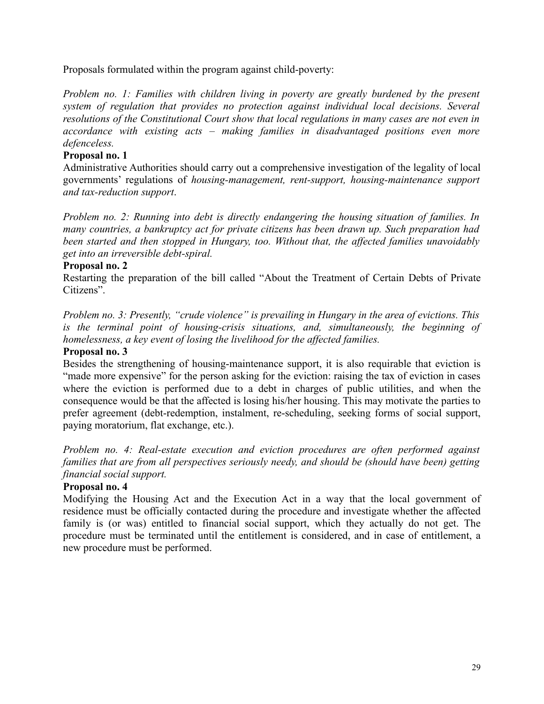Proposals formulated within the program against child-poverty:

*Problem no. 1: Families with children living in poverty are greatly burdened by the present system of regulation that provides no protection against individual local decisions. Several resolutions of the Constitutional Court show that local regulations in many cases are not even in accordance with existing acts – making families in disadvantaged positions even more defenceless.* 

## **Proposal no. 1**

Administrative Authorities should carry out a comprehensive investigation of the legality of local governments' regulations of *housing-management, rent-support, housing-maintenance support and tax-reduction support*.

*Problem no. 2: Running into debt is directly endangering the housing situation of families. In many countries, a bankruptcy act for private citizens has been drawn up. Such preparation had been started and then stopped in Hungary, too. Without that, the affected families unavoidably get into an irreversible debt-spiral.* 

#### **Proposal no. 2**

Restarting the preparation of the bill called "About the Treatment of Certain Debts of Private Citizens".

*Problem no. 3: Presently, "crude violence" is prevailing in Hungary in the area of evictions. This is the terminal point of housing-crisis situations, and, simultaneously, the beginning of homelessness, a key event of losing the livelihood for the affected families.* 

## **Proposal no. 3**

Besides the strengthening of housing-maintenance support, it is also requirable that eviction is "made more expensive" for the person asking for the eviction: raising the tax of eviction in cases where the eviction is performed due to a debt in charges of public utilities, and when the consequence would be that the affected is losing his/her housing. This may motivate the parties to prefer agreement (debt-redemption, instalment, re-scheduling, seeking forms of social support, paying moratorium, flat exchange, etc.).

*Problem no. 4: Real-estate execution and eviction procedures are often performed against families that are from all perspectives seriously needy, and should be (should have been) getting financial social support.*

#### **Proposal no. 4**

Modifying the Housing Act and the Execution Act in a way that the local government of residence must be officially contacted during the procedure and investigate whether the affected family is (or was) entitled to financial social support, which they actually do not get. The procedure must be terminated until the entitlement is considered, and in case of entitlement, a new procedure must be performed.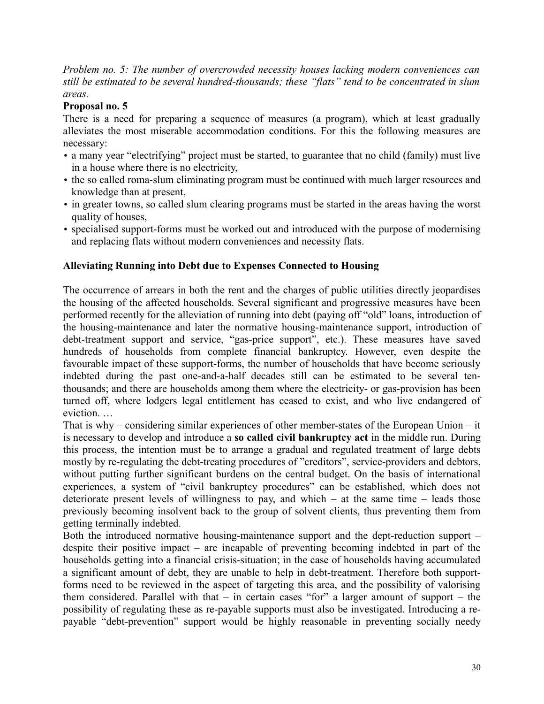*Problem no. 5: The number of overcrowded necessity houses lacking modern conveniences can still be estimated to be several hundred-thousands; these "flats" tend to be concentrated in slum areas.*

## **Proposal no. 5**

There is a need for preparing a sequence of measures (a program), which at least gradually alleviates the most miserable accommodation conditions. For this the following measures are necessary:

- a many year "electrifying" project must be started, to guarantee that no child (family) must live in a house where there is no electricity,
- the so called roma-slum eliminating program must be continued with much larger resources and knowledge than at present,
- in greater towns, so called slum clearing programs must be started in the areas having the worst quality of houses,
- specialised support-forms must be worked out and introduced with the purpose of modernising and replacing flats without modern conveniences and necessity flats.

# **Alleviating Running into Debt due to Expenses Connected to Housing**

The occurrence of arrears in both the rent and the charges of public utilities directly jeopardises the housing of the affected households. Several significant and progressive measures have been performed recently for the alleviation of running into debt (paying off "old" loans, introduction of the housing-maintenance and later the normative housing-maintenance support, introduction of debt-treatment support and service, "gas-price support", etc.). These measures have saved hundreds of households from complete financial bankruptcy. However, even despite the favourable impact of these support-forms, the number of households that have become seriously indebted during the past one-and-a-half decades still can be estimated to be several tenthousands; and there are households among them where the electricity- or gas-provision has been turned off, where lodgers legal entitlement has ceased to exist, and who live endangered of eviction. …

That is why – considering similar experiences of other member-states of the European Union – it is necessary to develop and introduce a **so called civil bankruptcy act** in the middle run. During this process, the intention must be to arrange a gradual and regulated treatment of large debts mostly by re-regulating the debt-treating procedures of "creditors", service-providers and debtors, without putting further significant burdens on the central budget. On the basis of international experiences, a system of "civil bankruptcy procedures" can be established, which does not deteriorate present levels of willingness to pay, and which – at the same time – leads those previously becoming insolvent back to the group of solvent clients, thus preventing them from getting terminally indebted.

Both the introduced normative housing-maintenance support and the dept-reduction support – despite their positive impact – are incapable of preventing becoming indebted in part of the households getting into a financial crisis-situation; in the case of households having accumulated a significant amount of debt, they are unable to help in debt-treatment. Therefore both supportforms need to be reviewed in the aspect of targeting this area, and the possibility of valorising them considered. Parallel with that – in certain cases "for" a larger amount of support – the possibility of regulating these as re-payable supports must also be investigated. Introducing a repayable "debt-prevention" support would be highly reasonable in preventing socially needy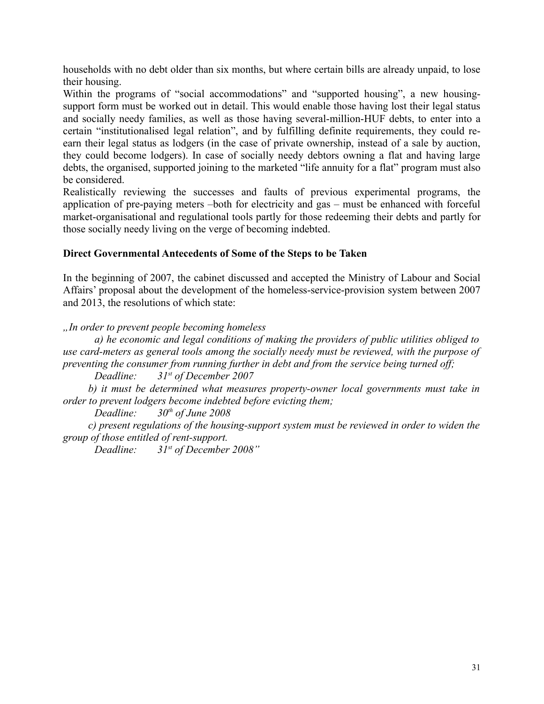households with no debt older than six months, but where certain bills are already unpaid, to lose their housing.

Within the programs of "social accommodations" and "supported housing", a new housingsupport form must be worked out in detail. This would enable those having lost their legal status and socially needy families, as well as those having several-million-HUF debts, to enter into a certain "institutionalised legal relation", and by fulfilling definite requirements, they could reearn their legal status as lodgers (in the case of private ownership, instead of a sale by auction, they could become lodgers). In case of socially needy debtors owning a flat and having large debts, the organised, supported joining to the marketed "life annuity for a flat" program must also be considered.

Realistically reviewing the successes and faults of previous experimental programs, the application of pre-paying meters –both for electricity and gas – must be enhanced with forceful market-organisational and regulational tools partly for those redeeming their debts and partly for those socially needy living on the verge of becoming indebted.

# **Direct Governmental Antecedents of Some of the Steps to be Taken**

In the beginning of 2007, the cabinet discussed and accepted the Ministry of Labour and Social Affairs' proposal about the development of the homeless-service-provision system between 2007 and 2013, the resolutions of which state:

# *"In order to prevent people becoming homeless*

*a) he economic and legal conditions of making the providers of public utilities obliged to use card-meters as general tools among the socially needy must be reviewed, with the purpose of preventing the consumer from running further in debt and from the service being turned off;*

*Deadline: 31st of December 2007*

*b) it must be determined what measures property-owner local governments must take in order to prevent lodgers become indebted before evicting them;*

*Deadline: 30th of June 2008*

*c) present regulations of the housing-support system must be reviewed in order to widen the group of those entitled of rent-support.*

*Deadline: 31st of December 2008"*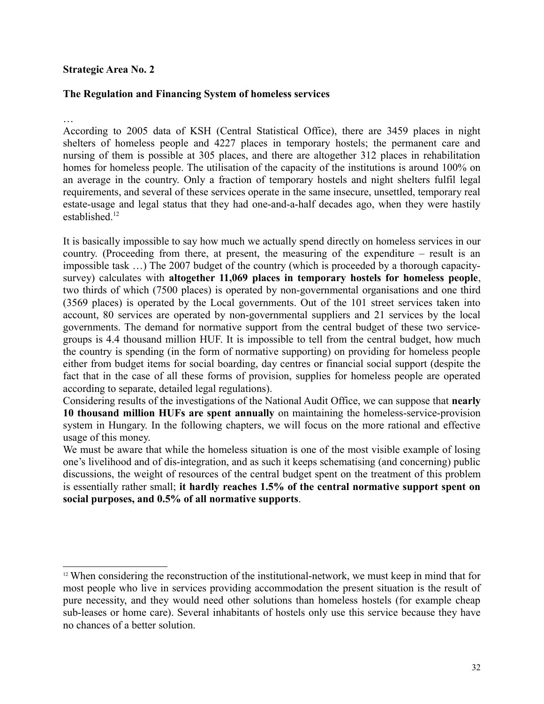#### **Strategic Area No. 2**

## **The Regulation and Financing System of homeless services**

…

According to 2005 data of KSH (Central Statistical Office), there are 3459 places in night shelters of homeless people and 4227 places in temporary hostels; the permanent care and nursing of them is possible at 305 places, and there are altogether 312 places in rehabilitation homes for homeless people. The utilisation of the capacity of the institutions is around 100% on an average in the country. Only a fraction of temporary hostels and night shelters fulfil legal requirements, and several of these services operate in the same insecure, unsettled, temporary real estate-usage and legal status that they had one-and-a-half decades ago, when they were hastily established $12$ 

It is basically impossible to say how much we actually spend directly on homeless services in our country. (Proceeding from there, at present, the measuring of the expenditure – result is an impossible task …) The 2007 budget of the country (which is proceeded by a thorough capacitysurvey) calculates with **altogether 11,069 places in temporary hostels for homeless people**, two thirds of which (7500 places) is operated by non-governmental organisations and one third (3569 places) is operated by the Local governments. Out of the 101 street services taken into account, 80 services are operated by non-governmental suppliers and 21 services by the local governments. The demand for normative support from the central budget of these two servicegroups is 4.4 thousand million HUF. It is impossible to tell from the central budget, how much the country is spending (in the form of normative supporting) on providing for homeless people either from budget items for social boarding, day centres or financial social support (despite the fact that in the case of all these forms of provision, supplies for homeless people are operated according to separate, detailed legal regulations).

Considering results of the investigations of the National Audit Office, we can suppose that **nearly 10 thousand million HUFs are spent annually** on maintaining the homeless-service-provision system in Hungary. In the following chapters, we will focus on the more rational and effective usage of this money.

We must be aware that while the homeless situation is one of the most visible example of losing one's livelihood and of dis-integration, and as such it keeps schematising (and concerning) public discussions, the weight of resources of the central budget spent on the treatment of this problem is essentially rather small; **it hardly reaches 1.5% of the central normative support spent on social purposes, and 0.5% of all normative supports**.

<span id="page-31-0"></span><sup>&</sup>lt;sup>12</sup> When considering the reconstruction of the institutional-network, we must keep in mind that for most people who live in services providing accommodation the present situation is the result of pure necessity, and they would need other solutions than homeless hostels (for example cheap sub-leases or home care). Several inhabitants of hostels only use this service because they have no chances of a better solution.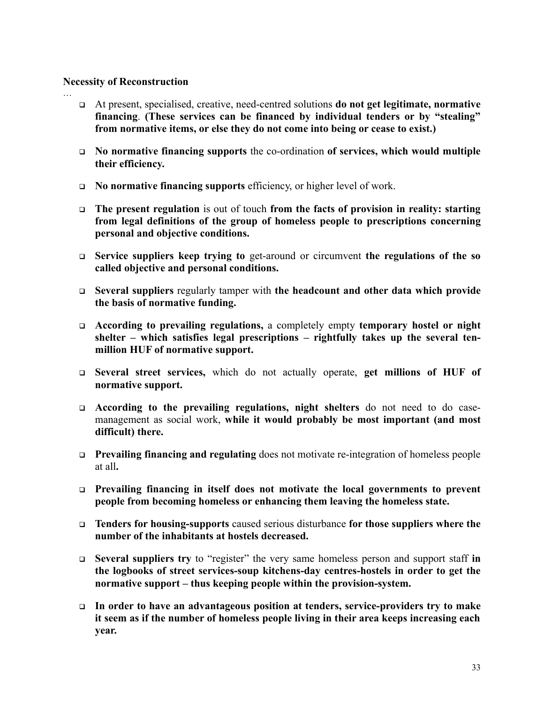#### **Necessity of Reconstruction**

…

- At present, specialised, creative, need-centred solutions **do not get legitimate, normative financing**. **(These services can be financed by individual tenders or by "stealing" from normative items, or else they do not come into being or cease to exist.)**
- **No normative financing supports** the co-ordination **of services, which would multiple their efficiency.**
- **No normative financing supports** efficiency, or higher level of work.
- **The present regulation** is out of touch **from the facts of provision in reality: starting from legal definitions of the group of homeless people to prescriptions concerning personal and objective conditions.**
- **Service suppliers keep trying to** get-around or circumvent **the regulations of the so called objective and personal conditions.**
- **Several suppliers** regularly tamper with **the headcount and other data which provide the basis of normative funding.**
- **According to prevailing regulations,** a completely empty **temporary hostel or night shelter – which satisfies legal prescriptions – rightfully takes up the several tenmillion HUF of normative support.**
- **Several street services,** which do not actually operate, **get millions of HUF of normative support.**
- **According to the prevailing regulations, night shelters** do not need to do casemanagement as social work, **while it would probably be most important (and most difficult) there.**
- **Prevailing financing and regulating** does not motivate re-integration of homeless people at all**.**
- **Prevailing financing in itself does not motivate the local governments to prevent people from becoming homeless or enhancing them leaving the homeless state.**
- **Tenders for housing-supports** caused serious disturbance **for those suppliers where the number of the inhabitants at hostels decreased.**
- **Several suppliers try** to "register" the very same homeless person and support staff **in the logbooks of street services-soup kitchens-day centres-hostels in order to get the normative support – thus keeping people within the provision-system.**
- **In order to have an advantageous position at tenders, service-providers try to make it seem as if the number of homeless people living in their area keeps increasing each year.**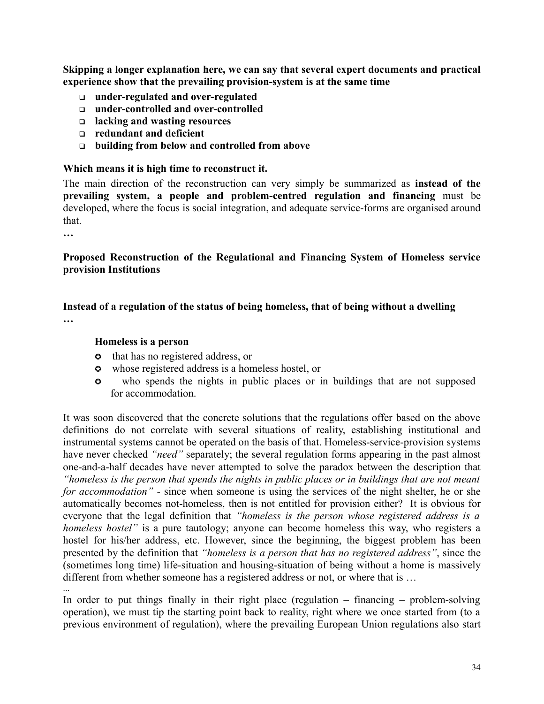**Skipping a longer explanation here, we can say that several expert documents and practical experience show that the prevailing provision-system is at the same time**

- **under-regulated and over-regulated**
- **under-controlled and over-controlled**
- **lacking and wasting resources**
- **redundant and deficient**
- **building from below and controlled from above**

#### **Which means it is high time to reconstruct it.**

The main direction of the reconstruction can very simply be summarized as **instead of the prevailing system, a people and problem-centred regulation and financing** must be developed, where the focus is social integration, and adequate service-forms are organised around that.

**…**

## **Proposed Reconstruction of the Regulational and Financing System of Homeless service provision Institutions**

## **Instead of a regulation of the status of being homeless, that of being without a dwelling …**

#### **Homeless is a person**

- **c** that has no registered address, or
- whose registered address is a homeless hostel, or
- who spends the nights in public places or in buildings that are not supposed for accommodation.

It was soon discovered that the concrete solutions that the regulations offer based on the above definitions do not correlate with several situations of reality, establishing institutional and instrumental systems cannot be operated on the basis of that. Homeless-service-provision systems have never checked *"need"* separately; the several regulation forms appearing in the past almost one-and-a-half decades have never attempted to solve the paradox between the description that *"homeless is the person that spends the nights in public places or in buildings that are not meant for accommodation"* - since when someone is using the services of the night shelter, he or she automatically becomes not-homeless, then is not entitled for provision either? It is obvious for everyone that the legal definition that *"homeless is the person whose registered address is a homeless hostel*" is a pure tautology; anyone can become homeless this way, who registers a hostel for his/her address, etc. However, since the beginning, the biggest problem has been presented by the definition that *"homeless is a person that has no registered address"*, since the (sometimes long time) life-situation and housing-situation of being without a home is massively different from whether someone has a registered address or not, or where that is … ...

In order to put things finally in their right place (regulation – financing – problem-solving operation), we must tip the starting point back to reality, right where we once started from (to a previous environment of regulation), where the prevailing European Union regulations also start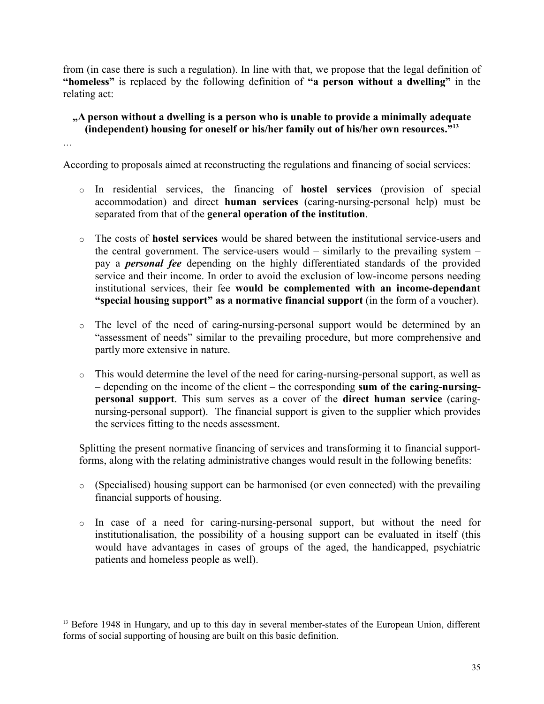from (in case there is such a regulation). In line with that, we propose that the legal definition of **"homeless"** is replaced by the following definition of **"a person without a dwelling"** in the relating act:

## **"A person without a dwelling is a person who is unable to provide a minimally adequate (independent) housing for oneself or his/her family out of his/her own resources."[13](#page-34-0)**

According to proposals aimed at reconstructing the regulations and financing of social services:

…

- o In residential services, the financing of **hostel services** (provision of special accommodation) and direct **human services** (caring-nursing-personal help) must be separated from that of the **general operation of the institution**.
- o The costs of **hostel services** would be shared between the institutional service-users and the central government. The service-users would – similarly to the prevailing system – pay a *personal fee* depending on the highly differentiated standards of the provided service and their income. In order to avoid the exclusion of low-income persons needing institutional services, their fee **would be complemented with an income-dependant "special housing support" as a normative financial support** (in the form of a voucher).
- o The level of the need of caring-nursing-personal support would be determined by an "assessment of needs" similar to the prevailing procedure, but more comprehensive and partly more extensive in nature.
- o This would determine the level of the need for caring-nursing-personal support, as well as – depending on the income of the client – the corresponding **sum of the caring-nursingpersonal support**. This sum serves as a cover of the **direct human service** (caringnursing-personal support). The financial support is given to the supplier which provides the services fitting to the needs assessment.

Splitting the present normative financing of services and transforming it to financial supportforms, along with the relating administrative changes would result in the following benefits:

- o (Specialised) housing support can be harmonised (or even connected) with the prevailing financial supports of housing.
- o In case of a need for caring-nursing-personal support, but without the need for institutionalisation, the possibility of a housing support can be evaluated in itself (this would have advantages in cases of groups of the aged, the handicapped, psychiatric patients and homeless people as well).

<span id="page-34-0"></span><sup>&</sup>lt;sup>13</sup> Before 1948 in Hungary, and up to this day in several member-states of the European Union, different forms of social supporting of housing are built on this basic definition.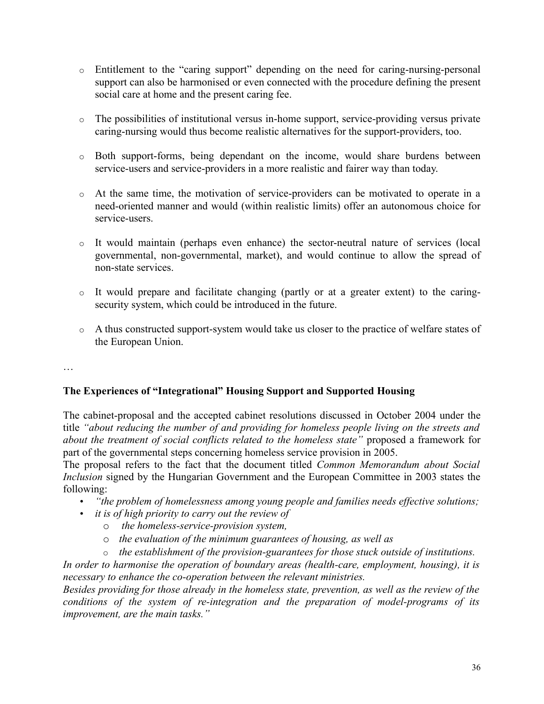- o Entitlement to the "caring support" depending on the need for caring-nursing-personal support can also be harmonised or even connected with the procedure defining the present social care at home and the present caring fee.
- o The possibilities of institutional versus in-home support, service-providing versus private caring-nursing would thus become realistic alternatives for the support-providers, too.
- o Both support-forms, being dependant on the income, would share burdens between service-users and service-providers in a more realistic and fairer way than today.
- o At the same time, the motivation of service-providers can be motivated to operate in a need-oriented manner and would (within realistic limits) offer an autonomous choice for service-users.
- o It would maintain (perhaps even enhance) the sector-neutral nature of services (local governmental, non-governmental, market), and would continue to allow the spread of non-state services.
- o It would prepare and facilitate changing (partly or at a greater extent) to the caringsecurity system, which could be introduced in the future.
- o A thus constructed support-system would take us closer to the practice of welfare states of the European Union.

…

# **The Experiences of "Integrational" Housing Support and Supported Housing**

The cabinet-proposal and the accepted cabinet resolutions discussed in October 2004 under the title *"about reducing the number of and providing for homeless people living on the streets and about the treatment of social conflicts related to the homeless state"* proposed a framework for part of the governmental steps concerning homeless service provision in 2005.

The proposal refers to the fact that the document titled *Common Memorandum about Social Inclusion* signed by the Hungarian Government and the European Committee in 2003 states the following:

- *"the problem of homelessness among young people and families needs effective solutions;*
- *it is of high priority to carry out the review of*
	- o *the homeless-service-provision system,*
	- o *the evaluation of the minimum guarantees of housing, as well as*
	- o *the establishment of the provision-guarantees for those stuck outside of institutions.*

*In order to harmonise the operation of boundary areas (health-care, employment, housing), it is necessary to enhance the co-operation between the relevant ministries.* 

*Besides providing for those already in the homeless state, prevention, as well as the review of the conditions of the system of re-integration and the preparation of model-programs of its improvement, are the main tasks."*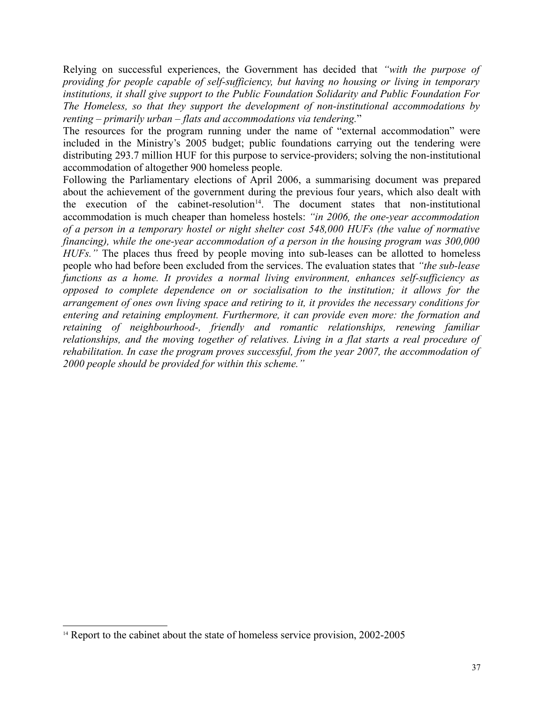Relying on successful experiences, the Government has decided that *"with the purpose of providing for people capable of self-sufficiency, but having no housing or living in temporary institutions, it shall give support to the Public Foundation Solidarity and Public Foundation For The Homeless, so that they support the development of non-institutional accommodations by renting – primarily urban – flats and accommodations via tendering.*"

The resources for the program running under the name of "external accommodation" were included in the Ministry's 2005 budget; public foundations carrying out the tendering were distributing 293.7 million HUF for this purpose to service-providers; solving the non-institutional accommodation of altogether 900 homeless people.

Following the Parliamentary elections of April 2006, a summarising document was prepared about the achievement of the government during the previous four years, which also dealt with the execution of the cabinet-resolution<sup>[14](#page-36-0)</sup>. The document states that non-institutional accommodation is much cheaper than homeless hostels: *"in 2006, the one-year accommodation of a person in a temporary hostel or night shelter cost 548,000 HUFs (the value of normative financing), while the one-year accommodation of a person in the housing program was 300,000 HUFs.*" The places thus freed by people moving into sub-leases can be allotted to homeless people who had before been excluded from the services. The evaluation states that *"the sub-lease functions as a home. It provides a normal living environment, enhances self-sufficiency as opposed to complete dependence on or socialisation to the institution; it allows for the arrangement of ones own living space and retiring to it, it provides the necessary conditions for entering and retaining employment. Furthermore, it can provide even more: the formation and retaining of neighbourhood-, friendly and romantic relationships, renewing familiar relationships, and the moving together of relatives. Living in a flat starts a real procedure of rehabilitation. In case the program proves successful, from the year 2007, the accommodation of 2000 people should be provided for within this scheme."*

<span id="page-36-0"></span><sup>&</sup>lt;sup>14</sup> Report to the cabinet about the state of homeless service provision, 2002-2005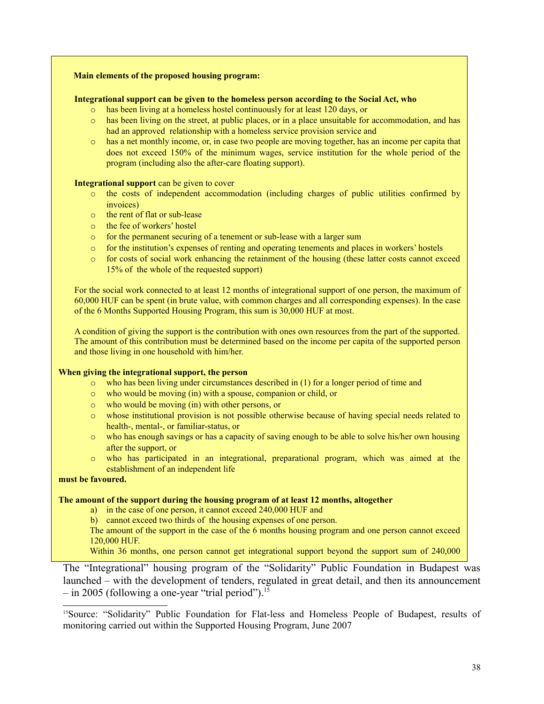#### **Main elements of the proposed housing program:**

#### **Integrational support can be given to the homeless person according to the Social Act, who**

- o has been living at a homeless hostel continuously for at least 120 days, or
- o has been living on the street, at public places, or in a place unsuitable for accommodation, and has had an approved relationship with a homeless service provision service and
- o has a net monthly income, or, in case two people are moving together, has an income per capita that does not exceed 150% of the minimum wages, service institution for the whole period of the program (including also the after-care floating support).

#### **Integrational support** can be given to cover

- o the costs of independent accommodation (including charges of public utilities confirmed by invoices)
- o the rent of flat or sub-lease
- o the fee of workers' hostel
- o for the permanent securing of a tenement or sub-lease with a larger sum
- o for the institution's expenses of renting and operating tenements and places in workers' hostels
- $\circ$  for costs of social work enhancing the retainment of the housing (these latter costs cannot exceed 15% of the whole of the requested support)

For the social work connected to at least 12 months of integrational support of one person, the maximum of 60,000 HUF can be spent (in brute value, with common charges and all corresponding expenses). In the case of the 6 Months Supported Housing Program, this sum is 30,000 HUF at most.

A condition of giving the support is the contribution with ones own resources from the part of the supported. The amount of this contribution must be determined based on the income per capita of the supported person and those living in one household with him/her.

#### **When giving the integrational support, the person**

- $\circ$  who has been living under circumstances described in (1) for a longer period of time and
- o who would be moving (in) with a spouse, companion or child, or
- o who would be moving (in) with other persons, or
- o whose institutional provision is not possible otherwise because of having special needs related to health-, mental-, or familiar-status, or
- o who has enough savings or has a capacity of saving enough to be able to solve his/her own housing after the support, or
- o who has participated in an integrational, preparational program, which was aimed at the establishment of an independent life

#### **must be favoured.**

#### **The amount of the support during the housing program of at least 12 months, altogether**

- a) in the case of one person, it cannot exceed 240,000 HUF and
- b) cannot exceed two thirds of the housing expenses of one person.
- The amount of the support in the case of the 6 months housing program and one person cannot exceed 120,000 HUF.

Within 36 months, one person cannot get integrational support beyond the support sum of 240,000

The "Integrational" housing program of the "Solidarity" Public Foundation in Budapest was launched – with the development of tenders, regulated in great detail, and then its announcement – in 2005 (following a one-year "trial period").<sup>[15](#page-37-0)</sup>

<span id="page-37-0"></span><sup>15</sup>Source: "Solidarity" Public Foundation for Flat-less and Homeless People of Budapest, results of monitoring carried out within the Supported Housing Program, June 2007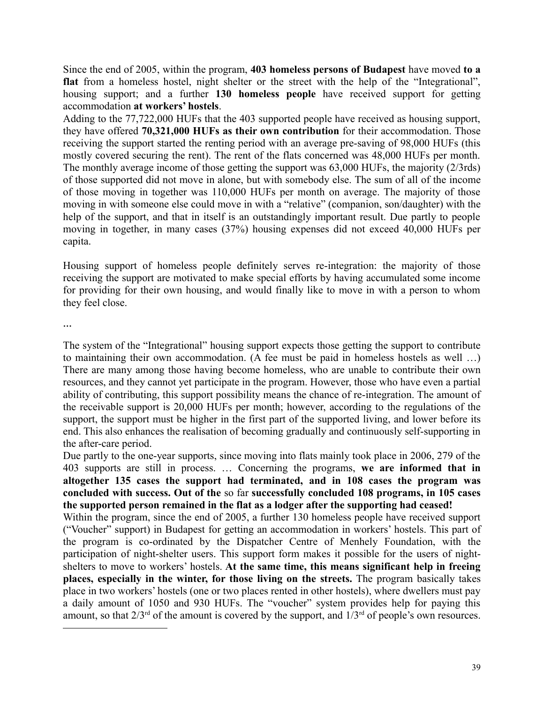Since the end of 2005, within the program, **403 homeless persons of Budapest** have moved **to a flat** from a homeless hostel, night shelter or the street with the help of the "Integrational", housing support; and a further **130 homeless people** have received support for getting accommodation **at workers' hostels**.

Adding to the 77,722,000 HUFs that the 403 supported people have received as housing support, they have offered **70,321,000 HUFs as their own contribution** for their accommodation. Those receiving the support started the renting period with an average pre-saving of 98,000 HUFs (this mostly covered securing the rent). The rent of the flats concerned was 48,000 HUFs per month. The monthly average income of those getting the support was 63,000 HUFs, the majority (2/3rds) of those supported did not move in alone, but with somebody else. The sum of all of the income of those moving in together was 110,000 HUFs per month on average. The majority of those moving in with someone else could move in with a "relative" (companion, son/daughter) with the help of the support, and that in itself is an outstandingly important result. Due partly to people moving in together, in many cases (37%) housing expenses did not exceed 40,000 HUFs per capita.

Housing support of homeless people definitely serves re-integration: the majority of those receiving the support are motivated to make special efforts by having accumulated some income for providing for their own housing, and would finally like to move in with a person to whom they feel close.

**…**

The system of the "Integrational" housing support expects those getting the support to contribute to maintaining their own accommodation. (A fee must be paid in homeless hostels as well …) There are many among those having become homeless, who are unable to contribute their own resources, and they cannot yet participate in the program. However, those who have even a partial ability of contributing, this support possibility means the chance of re-integration. The amount of the receivable support is 20,000 HUFs per month; however, according to the regulations of the support, the support must be higher in the first part of the supported living, and lower before its end. This also enhances the realisation of becoming gradually and continuously self-supporting in the after-care period.

Due partly to the one-year supports, since moving into flats mainly took place in 2006, 279 of the 403 supports are still in process. … Concerning the programs, **we are informed that in altogether 135 cases the support had terminated, and in 108 cases the program was concluded with success. Out of the** so far **successfully concluded 108 programs, in 105 cases the supported person remained in the flat as a lodger after the supporting had ceased!**

Within the program, since the end of 2005, a further 130 homeless people have received support ("Voucher" support) in Budapest for getting an accommodation in workers' hostels. This part of the program is co-ordinated by the Dispatcher Centre of Menhely Foundation, with the participation of night-shelter users. This support form makes it possible for the users of nightshelters to move to workers' hostels. **At the same time, this means significant help in freeing places, especially in the winter, for those living on the streets.** The program basically takes place in two workers' hostels (one or two places rented in other hostels), where dwellers must pay a daily amount of 1050 and 930 HUFs. The "voucher" system provides help for paying this amount, so that  $2/3^{rd}$  of the amount is covered by the support, and  $1/3^{rd}$  of people's own resources.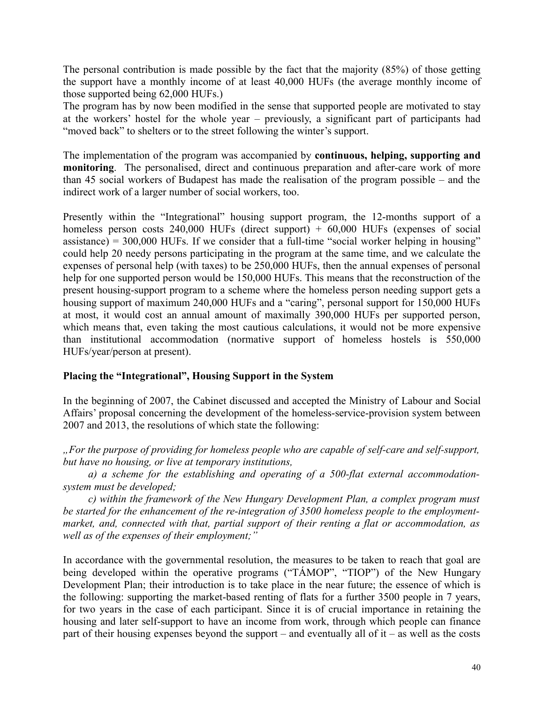The personal contribution is made possible by the fact that the majority (85%) of those getting the support have a monthly income of at least 40,000 HUFs (the average monthly income of those supported being 62,000 HUFs.)

The program has by now been modified in the sense that supported people are motivated to stay at the workers' hostel for the whole year – previously, a significant part of participants had "moved back" to shelters or to the street following the winter's support.

The implementation of the program was accompanied by **continuous, helping, supporting and monitoring**. The personalised, direct and continuous preparation and after-care work of more than 45 social workers of Budapest has made the realisation of the program possible – and the indirect work of a larger number of social workers, too.

Presently within the "Integrational" housing support program, the 12-months support of a homeless person costs  $240,000$  HUFs (direct support) +  $60,000$  HUFs (expenses of social assistance) =  $300,000$  HUFs. If we consider that a full-time "social worker helping in housing" could help 20 needy persons participating in the program at the same time, and we calculate the expenses of personal help (with taxes) to be 250,000 HUFs, then the annual expenses of personal help for one supported person would be 150,000 HUFs. This means that the reconstruction of the present housing-support program to a scheme where the homeless person needing support gets a housing support of maximum 240,000 HUFs and a "caring", personal support for 150,000 HUFs at most, it would cost an annual amount of maximally 390,000 HUFs per supported person, which means that, even taking the most cautious calculations, it would not be more expensive than institutional accommodation (normative support of homeless hostels is 550,000 HUFs/year/person at present).

## **Placing the "Integrational", Housing Support in the System**

In the beginning of 2007, the Cabinet discussed and accepted the Ministry of Labour and Social Affairs' proposal concerning the development of the homeless-service-provision system between 2007 and 2013, the resolutions of which state the following:

*"For the purpose of providing for homeless people who are capable of self-care and self-support, but have no housing, or live at temporary institutions,*

*a) a scheme for the establishing and operating of a 500-flat external accommodationsystem must be developed;*

*c) within the framework of the New Hungary Development Plan, a complex program must be started for the enhancement of the re-integration of 3500 homeless people to the employmentmarket, and, connected with that, partial support of their renting a flat or accommodation, as well as of the expenses of their employment;"*

In accordance with the governmental resolution, the measures to be taken to reach that goal are being developed within the operative programs ("TÁMOP", "TIOP") of the New Hungary Development Plan; their introduction is to take place in the near future; the essence of which is the following: supporting the market-based renting of flats for a further 3500 people in 7 years, for two years in the case of each participant. Since it is of crucial importance in retaining the housing and later self-support to have an income from work, through which people can finance part of their housing expenses beyond the support – and eventually all of it – as well as the costs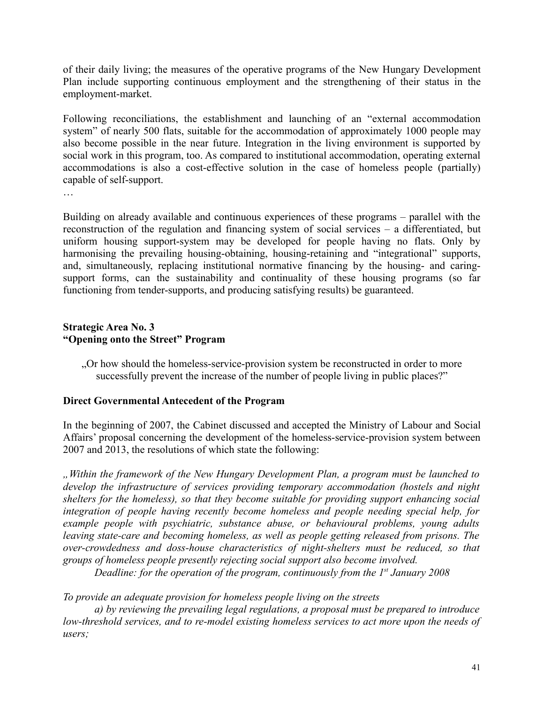of their daily living; the measures of the operative programs of the New Hungary Development Plan include supporting continuous employment and the strengthening of their status in the employment-market.

Following reconciliations, the establishment and launching of an "external accommodation system" of nearly 500 flats, suitable for the accommodation of approximately 1000 people may also become possible in the near future. Integration in the living environment is supported by social work in this program, too. As compared to institutional accommodation, operating external accommodations is also a cost-effective solution in the case of homeless people (partially) capable of self-support.

…

Building on already available and continuous experiences of these programs – parallel with the reconstruction of the regulation and financing system of social services – a differentiated, but uniform housing support-system may be developed for people having no flats. Only by harmonising the prevailing housing-obtaining, housing-retaining and "integrational" supports, and, simultaneously, replacing institutional normative financing by the housing- and caringsupport forms, can the sustainability and continuality of these housing programs (so far functioning from tender-supports, and producing satisfying results) be guaranteed.

## **Strategic Area No. 3 "Opening onto the Street" Program**

"Or how should the homeless-service-provision system be reconstructed in order to more successfully prevent the increase of the number of people living in public places?"

## **Direct Governmental Antecedent of the Program**

In the beginning of 2007, the Cabinet discussed and accepted the Ministry of Labour and Social Affairs' proposal concerning the development of the homeless-service-provision system between 2007 and 2013, the resolutions of which state the following:

*"Within the framework of the New Hungary Development Plan, a program must be launched to develop the infrastructure of services providing temporary accommodation (hostels and night shelters for the homeless), so that they become suitable for providing support enhancing social integration of people having recently become homeless and people needing special help, for example people with psychiatric, substance abuse, or behavioural problems, young adults leaving state-care and becoming homeless, as well as people getting released from prisons. The over-crowdedness and doss-house characteristics of night-shelters must be reduced, so that groups of homeless people presently rejecting social support also become involved.*

*Deadline: for the operation of the program, continuously from the 1st January 2008*

# *To provide an adequate provision for homeless people living on the streets*

*a) by reviewing the prevailing legal regulations, a proposal must be prepared to introduce low-threshold services, and to re-model existing homeless services to act more upon the needs of users;*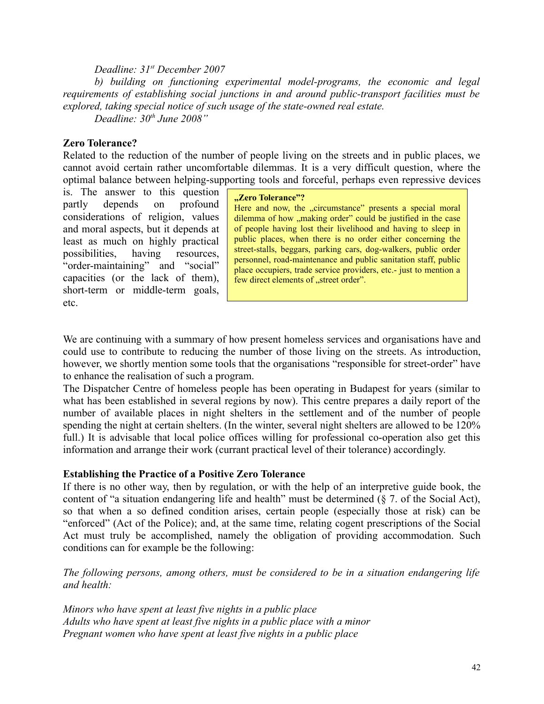#### *Deadline: 31st December 2007*

*b) building on functioning experimental model-programs, the economic and legal requirements of establishing social junctions in and around public-transport facilities must be explored, taking special notice of such usage of the state-owned real estate. Deadline: 30th June 2008"*

**Zero Tolerance?**

Related to the reduction of the number of people living on the streets and in public places, we cannot avoid certain rather uncomfortable dilemmas. It is a very difficult question, where the optimal balance between helping-supporting tools and forceful, perhaps even repressive devices

is. The answer to this question partly depends on profound considerations of religion, values and moral aspects, but it depends at least as much on highly practical possibilities, having resources, "order-maintaining" and "social" capacities (or the lack of them), short-term or middle-term goals, etc.

#### **"Zero Tolerance"?**

Here and now, the "circumstance" presents a special moral dilemma of how "making order" could be justified in the case of people having lost their livelihood and having to sleep in public places, when there is no order either concerning the street-stalls, beggars, parking cars, dog-walkers, public order personnel, road-maintenance and public sanitation staff, public place occupiers, trade service providers, etc.- just to mention a few direct elements of "street order".

We are continuing with a summary of how present homeless services and organisations have and could use to contribute to reducing the number of those living on the streets. As introduction, however, we shortly mention some tools that the organisations "responsible for street-order" have to enhance the realisation of such a program.

The Dispatcher Centre of homeless people has been operating in Budapest for years (similar to what has been established in several regions by now). This centre prepares a daily report of the number of available places in night shelters in the settlement and of the number of people spending the night at certain shelters. (In the winter, several night shelters are allowed to be 120% full.) It is advisable that local police offices willing for professional co-operation also get this information and arrange their work (currant practical level of their tolerance) accordingly.

#### **Establishing the Practice of a Positive Zero Tolerance**

If there is no other way, then by regulation, or with the help of an interpretive guide book, the content of "a situation endangering life and health" must be determined (§ 7. of the Social Act), so that when a so defined condition arises, certain people (especially those at risk) can be "enforced" (Act of the Police); and, at the same time, relating cogent prescriptions of the Social Act must truly be accomplished, namely the obligation of providing accommodation. Such conditions can for example be the following:

*The following persons, among others, must be considered to be in a situation endangering life and health:*

*Minors who have spent at least five nights in a public place Adults who have spent at least five nights in a public place with a minor Pregnant women who have spent at least five nights in a public place*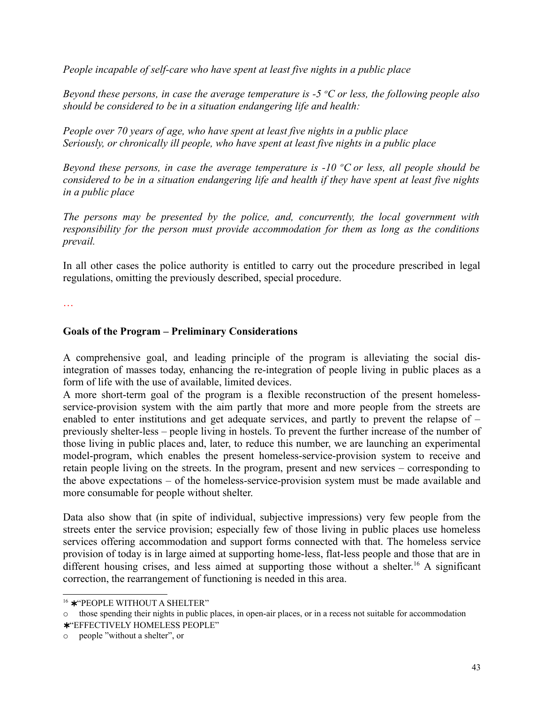*People incapable of self-care who have spent at least five nights in a public place*

*Beyond these persons, in case the average temperature is -5 <sup>o</sup>C or less, the following people also should be considered to be in a situation endangering life and health:*

*People over 70 years of age, who have spent at least five nights in a public place Seriously, or chronically ill people, who have spent at least five nights in a public place*

*Beyond these persons, in case the average temperature is -10 <sup>o</sup>C or less, all people should be* considered to be in a situation endangering life and health if they have spent at least five nights *in a public place*

*The persons may be presented by the police, and, concurrently, the local government with responsibility for the person must provide accommodation for them as long as the conditions prevail.* 

In all other cases the police authority is entitled to carry out the procedure prescribed in legal regulations, omitting the previously described, special procedure.

…

## **Goals of the Program – Preliminary Considerations**

A comprehensive goal, and leading principle of the program is alleviating the social disintegration of masses today, enhancing the re-integration of people living in public places as a form of life with the use of available, limited devices.

A more short-term goal of the program is a flexible reconstruction of the present homelessservice-provision system with the aim partly that more and more people from the streets are enabled to enter institutions and get adequate services, and partly to prevent the relapse of – previously shelter-less – people living in hostels. To prevent the further increase of the number of those living in public places and, later, to reduce this number, we are launching an experimental model-program, which enables the present homeless-service-provision system to receive and retain people living on the streets. In the program, present and new services – corresponding to the above expectations – of the homeless-service-provision system must be made available and more consumable for people without shelter.

Data also show that (in spite of individual, subjective impressions) very few people from the streets enter the service provision; especially few of those living in public places use homeless services offering accommodation and support forms connected with that. The homeless service provision of today is in large aimed at supporting home-less, flat-less people and those that are in different housing crises, and less aimed at supporting those without a shelter.<sup>[16](#page-42-0)</sup> A significant correction, the rearrangement of functioning is needed in this area.

<span id="page-42-0"></span><sup>16</sup> ∗ "PEOPLE WITHOUT A SHELTER"

 $\circ$  those spending their nights in public places, in open-air places, or in a recess not suitable for accommodation

<sup>∗</sup> "EFFECTIVELY HOMELESS PEOPLE"

o people "without a shelter", or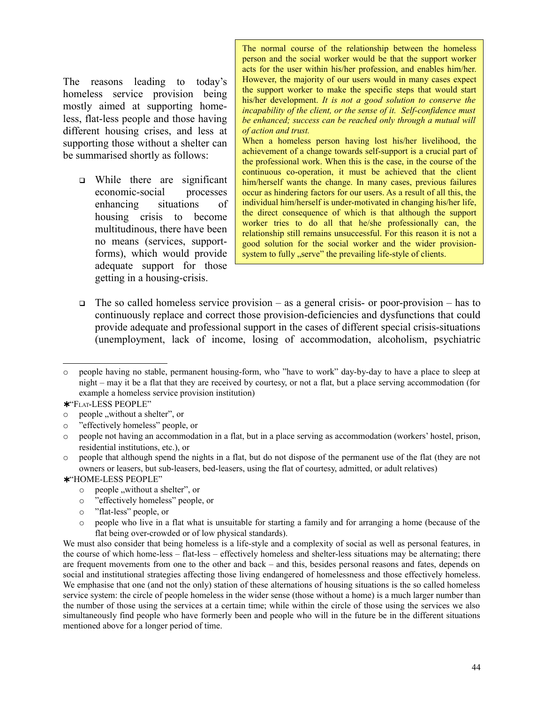The reasons leading to today's homeless service provision being mostly aimed at supporting homeless, flat-less people and those having different housing crises, and less at supporting those without a shelter can be summarised shortly as follows:

 While there are significant economic-social processes enhancing situations of housing crisis to become multitudinous, there have been no means (services, supportforms), which would provide adequate support for those getting in a housing-crisis.

The normal course of the relationship between the homeless person and the social worker would be that the support worker acts for the user within his/her profession, and enables him/her. However, the majority of our users would in many cases expect the support worker to make the specific steps that would start his/her development. *It is not a good solution to conserve the incapability of the client, or the sense of it. Self-confidence must be enhanced; success can be reached only through a mutual will of action and trust.*

When a homeless person having lost his/her livelihood, the achievement of a change towards self-support is a crucial part of the professional work. When this is the case, in the course of the continuous co-operation, it must be achieved that the client him/herself wants the change. In many cases, previous failures occur as hindering factors for our users. As a result of all this, the individual him/herself is under-motivated in changing his/her life, the direct consequence of which is that although the support worker tries to do all that he/she professionally can, the relationship still remains unsuccessful. For this reason it is not a good solution for the social worker and the wider provisionsystem to fully "serve" the prevailing life-style of clients.

 $\Box$  The so called homeless service provision – as a general crisis- or poor-provision – has to continuously replace and correct those provision-deficiencies and dysfunctions that could provide adequate and professional support in the cases of different special crisis-situations (unemployment, lack of income, losing of accommodation, alcoholism, psychiatric

- ∗ "HOME-LESS PEOPLE"
	- $\circ$  people "without a shelter", or
	- o "effectively homeless" people, or
	- o "flat-less" people, or
	- o people who live in a flat what is unsuitable for starting a family and for arranging a home (because of the flat being over-crowded or of low physical standards).

We must also consider that being homeless is a life-style and a complexity of social as well as personal features, in the course of which home-less – flat-less – effectively homeless and shelter-less situations may be alternating; there are frequent movements from one to the other and back – and this, besides personal reasons and fates, depends on social and institutional strategies affecting those living endangered of homelessness and those effectively homeless. We emphasise that one (and not the only) station of these alternations of housing situations is the so called homeless service system: the circle of people homeless in the wider sense (those without a home) is a much larger number than the number of those using the services at a certain time; while within the circle of those using the services we also simultaneously find people who have formerly been and people who will in the future be in the different situations mentioned above for a longer period of time.

o people having no stable, permanent housing-form, who "have to work" day-by-day to have a place to sleep at night – may it be a flat that they are received by courtesy, or not a flat, but a place serving accommodation (for example a homeless service provision institution)

<sup>∗</sup> "FLAT-LESS PEOPLE"

 $\circ$  people ,, without a shelter", or

o "effectively homeless" people, or

o people not having an accommodation in a flat, but in a place serving as accommodation (workers' hostel, prison, residential institutions, etc.), or

o people that although spend the nights in a flat, but do not dispose of the permanent use of the flat (they are not owners or leasers, but sub-leasers, bed-leasers, using the flat of courtesy, admitted, or adult relatives)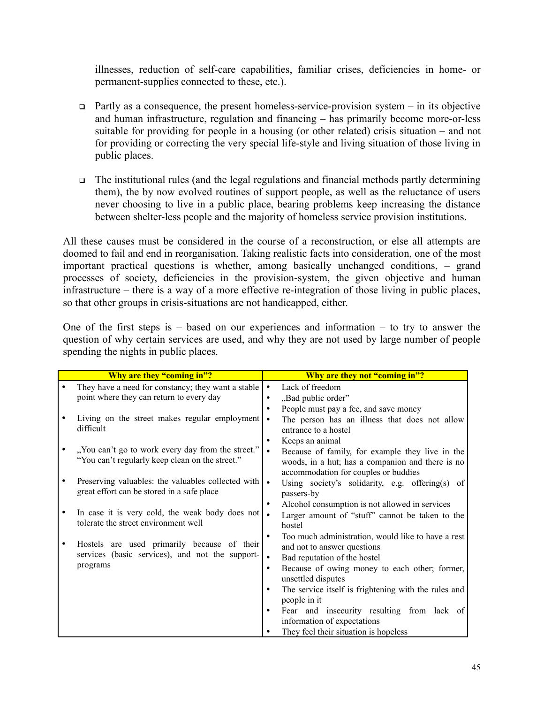illnesses, reduction of self-care capabilities, familiar crises, deficiencies in home- or permanent-supplies connected to these, etc.).

- $\Box$  Partly as a consequence, the present homeless-service-provision system in its objective and human infrastructure, regulation and financing – has primarily become more-or-less suitable for providing for people in a housing (or other related) crisis situation – and not for providing or correcting the very special life-style and living situation of those living in public places.
- $\Box$  The institutional rules (and the legal regulations and financial methods partly determining them), the by now evolved routines of support people, as well as the reluctance of users never choosing to live in a public place, bearing problems keep increasing the distance between shelter-less people and the majority of homeless service provision institutions.

All these causes must be considered in the course of a reconstruction, or else all attempts are doomed to fail and end in reorganisation. Taking realistic facts into consideration, one of the most important practical questions is whether, among basically unchanged conditions, – grand processes of society, deficiencies in the provision-system, the given objective and human infrastructure – there is a way of a more effective re-integration of those living in public places, so that other groups in crisis-situations are not handicapped, either.

One of the first steps is  $-$  based on our experiences and information  $-$  to try to answer the question of why certain services are used, and why they are not used by large number of people spending the nights in public places.

| Why are they "coming in"?                                                                                  |           | Why are they not "coming in"?                                                                                                               |
|------------------------------------------------------------------------------------------------------------|-----------|---------------------------------------------------------------------------------------------------------------------------------------------|
| They have a need for constancy; they want a stable                                                         | $\bullet$ | Lack of freedom                                                                                                                             |
| point where they can return to every day                                                                   |           | "Bad public order"                                                                                                                          |
|                                                                                                            | $\bullet$ | People must pay a fee, and save money                                                                                                       |
| Living on the street makes regular employment<br>difficult                                                 | $\bullet$ | The person has an illness that does not allow<br>entrance to a hostel                                                                       |
|                                                                                                            |           | Keeps an animal                                                                                                                             |
| "You can't go to work every day from the street."<br>"You can't regularly keep clean on the street."       | $\bullet$ | Because of family, for example they live in the<br>woods, in a hut; has a companion and there is no<br>accommodation for couples or buddies |
| Preserving valuables: the valuables collected with $\bullet$<br>great effort can be stored in a safe place |           | Using society's solidarity, e.g. offering(s) of<br>passers-by                                                                               |
|                                                                                                            | ٠         | Alcohol consumption is not allowed in services                                                                                              |
| In case it is very cold, the weak body does not<br>tolerate the street environment well                    | $\bullet$ | Larger amount of "stuff" cannot be taken to the<br>hostel                                                                                   |
| Hostels are used primarily because of their                                                                | $\bullet$ | Too much administration, would like to have a rest<br>and not to answer questions                                                           |
| services (basic services), and not the support-                                                            | $\bullet$ | Bad reputation of the hostel                                                                                                                |
| programs                                                                                                   | $\bullet$ | Because of owing money to each other; former,                                                                                               |
|                                                                                                            |           | unsettled disputes                                                                                                                          |
|                                                                                                            | ٠         | The service itself is frightening with the rules and                                                                                        |
|                                                                                                            |           | people in it                                                                                                                                |
|                                                                                                            |           | Fear and insecurity resulting from lack of                                                                                                  |
|                                                                                                            |           | information of expectations                                                                                                                 |
|                                                                                                            |           | They feel their situation is hopeless                                                                                                       |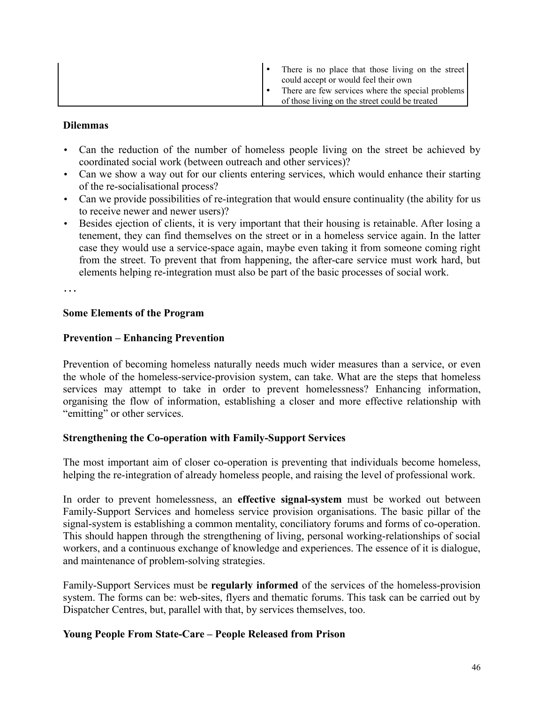|  | There is no place that those living on the street<br>could accept or would feel their own           |
|--|-----------------------------------------------------------------------------------------------------|
|  | There are few services where the special problems<br>of those living on the street could be treated |

## **Dilemmas**

- Can the reduction of the number of homeless people living on the street be achieved by coordinated social work (between outreach and other services)?
- Can we show a way out for our clients entering services, which would enhance their starting of the re-socialisational process?
- Can we provide possibilities of re-integration that would ensure continuality (the ability for us to receive newer and newer users)?
- Besides ejection of clients, it is very important that their housing is retainable. After losing a tenement, they can find themselves on the street or in a homeless service again. In the latter case they would use a service-space again, maybe even taking it from someone coming right from the street. To prevent that from happening, the after-care service must work hard, but elements helping re-integration must also be part of the basic processes of social work.

…

#### **Some Elements of the Program**

#### **Prevention – Enhancing Prevention**

Prevention of becoming homeless naturally needs much wider measures than a service, or even the whole of the homeless-service-provision system, can take. What are the steps that homeless services may attempt to take in order to prevent homelessness? Enhancing information, organising the flow of information, establishing a closer and more effective relationship with "emitting" or other services.

#### **Strengthening the Co-operation with Family-Support Services**

The most important aim of closer co-operation is preventing that individuals become homeless, helping the re-integration of already homeless people, and raising the level of professional work.

In order to prevent homelessness, an **effective signal-system** must be worked out between Family-Support Services and homeless service provision organisations. The basic pillar of the signal-system is establishing a common mentality, conciliatory forums and forms of co-operation. This should happen through the strengthening of living, personal working-relationships of social workers, and a continuous exchange of knowledge and experiences. The essence of it is dialogue, and maintenance of problem-solving strategies.

Family-Support Services must be **regularly informed** of the services of the homeless-provision system. The forms can be: web-sites, flyers and thematic forums. This task can be carried out by Dispatcher Centres, but, parallel with that, by services themselves, too.

#### **Young People From State-Care – People Released from Prison**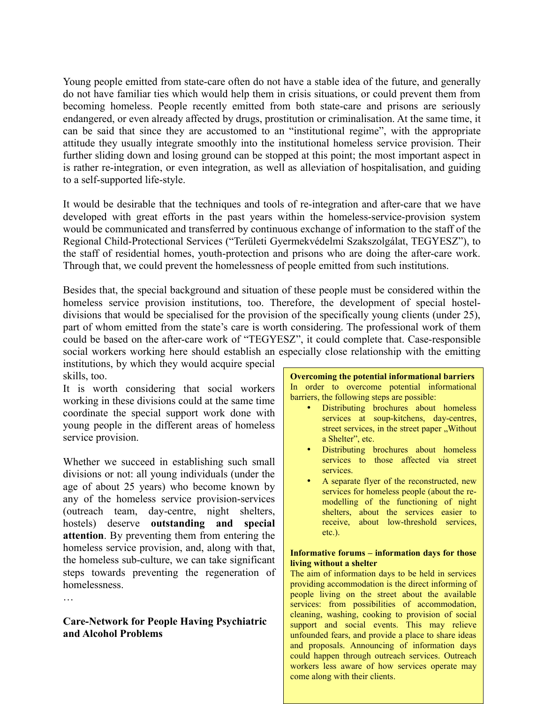Young people emitted from state-care often do not have a stable idea of the future, and generally do not have familiar ties which would help them in crisis situations, or could prevent them from becoming homeless. People recently emitted from both state-care and prisons are seriously endangered, or even already affected by drugs, prostitution or criminalisation. At the same time, it can be said that since they are accustomed to an "institutional regime", with the appropriate attitude they usually integrate smoothly into the institutional homeless service provision. Their further sliding down and losing ground can be stopped at this point; the most important aspect in is rather re-integration, or even integration, as well as alleviation of hospitalisation, and guiding to a self-supported life-style.

It would be desirable that the techniques and tools of re-integration and after-care that we have developed with great efforts in the past years within the homeless-service-provision system would be communicated and transferred by continuous exchange of information to the staff of the Regional Child-Protectional Services ("Területi Gyermekvédelmi Szakszolgálat, TEGYESZ"), to the staff of residential homes, youth-protection and prisons who are doing the after-care work. Through that, we could prevent the homelessness of people emitted from such institutions.

Besides that, the special background and situation of these people must be considered within the homeless service provision institutions, too. Therefore, the development of special hosteldivisions that would be specialised for the provision of the specifically young clients (under 25), part of whom emitted from the state's care is worth considering. The professional work of them could be based on the after-care work of "TEGYESZ", it could complete that. Case-responsible social workers working here should establish an especially close relationship with the emitting institutions, by which they would acquire special

skills, too.

It is worth considering that social workers working in these divisions could at the same time coordinate the special support work done with young people in the different areas of homeless service provision.

Whether we succeed in establishing such small divisions or not: all young individuals (under the age of about 25 years) who become known by any of the homeless service provision-services (outreach team, day-centre, night shelters, hostels) deserve **outstanding and special attention**. By preventing them from entering the homeless service provision, and, along with that, the homeless sub-culture, we can take significant steps towards preventing the regeneration of homelessness.

# **Care-Network for People Having Psychiatric and Alcohol Problems**

…

#### **Overcoming the potential informational barriers** In order to overcome potential informational barriers, the following steps are possible:

- Distributing brochures about homeless services at soup-kitchens, day-centres, street services, in the street paper "Without a Shelter", etc.
- Distributing brochures about homeless services to those affected via street services.
- A separate flyer of the reconstructed, new services for homeless people (about the remodelling of the functioning of night shelters, about the services easier to receive, about low-threshold services, etc.).

#### **Informative forums – information days for those living without a shelter**

workers less aware of how services operate may The aim of information days to be held in services providing accommodation is the direct informing of people living on the street about the available services: from possibilities of accommodation, cleaning, washing, cooking to provision of social support and social events. This may relieve unfounded fears, and provide a place to share ideas and proposals. Announcing of information days could happen through outreach services. Outreach come along with their clients.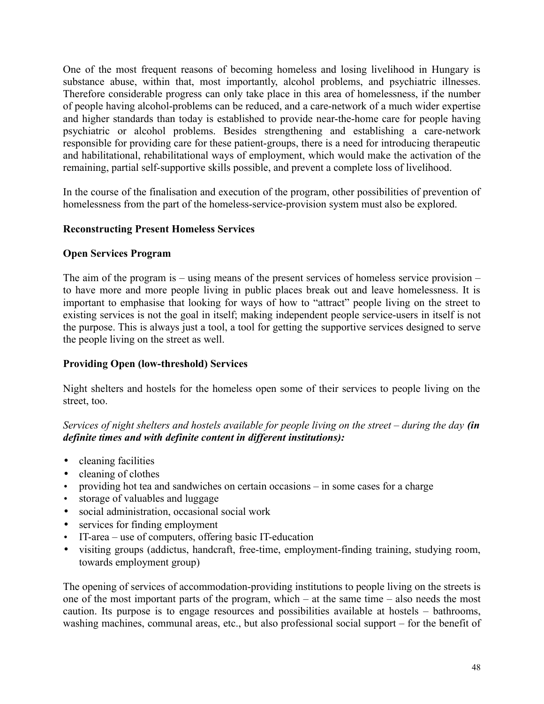One of the most frequent reasons of becoming homeless and losing livelihood in Hungary is substance abuse, within that, most importantly, alcohol problems, and psychiatric illnesses. Therefore considerable progress can only take place in this area of homelessness, if the number of people having alcohol-problems can be reduced, and a care-network of a much wider expertise and higher standards than today is established to provide near-the-home care for people having psychiatric or alcohol problems. Besides strengthening and establishing a care-network responsible for providing care for these patient-groups, there is a need for introducing therapeutic and habilitational, rehabilitational ways of employment, which would make the activation of the remaining, partial self-supportive skills possible, and prevent a complete loss of livelihood.

In the course of the finalisation and execution of the program, other possibilities of prevention of homelessness from the part of the homeless-service-provision system must also be explored.

## **Reconstructing Present Homeless Services**

#### **Open Services Program**

The aim of the program is – using means of the present services of homeless service provision – to have more and more people living in public places break out and leave homelessness. It is important to emphasise that looking for ways of how to "attract" people living on the street to existing services is not the goal in itself; making independent people service-users in itself is not the purpose. This is always just a tool, a tool for getting the supportive services designed to serve the people living on the street as well.

## **Providing Open (low-threshold) Services**

Night shelters and hostels for the homeless open some of their services to people living on the street, too.

*Services of night shelters and hostels available for people living on the street – during the day (in definite times and with definite content in different institutions):*

- cleaning facilities
- cleaning of clothes
- providing hot tea and sandwiches on certain occasions in some cases for a charge
- storage of valuables and luggage
- social administration, occasional social work
- services for finding employment
- IT-area use of computers, offering basic IT-education
- visiting groups (addictus, handcraft, free-time, employment-finding training, studying room, towards employment group)

The opening of services of accommodation-providing institutions to people living on the streets is one of the most important parts of the program, which – at the same time – also needs the most caution. Its purpose is to engage resources and possibilities available at hostels – bathrooms, washing machines, communal areas, etc., but also professional social support – for the benefit of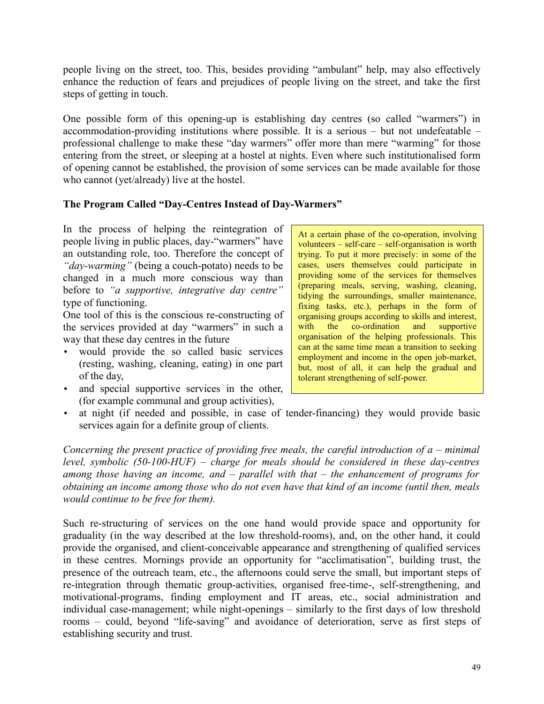people living on the street, too. This, besides providing "ambulant" help, may also effectively enhance the reduction of fears and prejudices of people living on the street, and take the first steps of getting in touch.

One possible form of this opening-up is establishing day centres (so called "warmers") in accommodation-providing institutions where possible. It is a serious – but not undefeatable – professional challenge to make these "day warmers" offer more than mere "warming" for those entering from the street, or sleeping at a hostel at nights. Even where such institutionalised form of opening cannot be established, the provision of some services can be made available for those who cannot (yet/already) live at the hostel.

# **The Program Called "Day-Centres Instead of Day-Warmers"**

In the process of helping the reintegration of people living in public places, day-"warmers" have an outstanding role, too. Therefore the concept of *"day-warming"* (being a couch-potato) needs to be changed in a much more conscious way than before to *"a supportive, integrative day centre"* type of functioning.

One tool of this is the conscious re-constructing of the services provided at day "warmers" in such a way that these day centres in the future

- would provide the so called basic services (resting, washing, cleaning, eating) in one part of the day,
- and special supportive services in the other, (for example communal and group activities),

At a certain phase of the co-operation, involving volunteers – self-care – self-organisation is worth trying. To put it more precisely: in some of the cases, users themselves could participate in providing some of the services for themselves (preparing meals, serving, washing, cleaning, tidying the surroundings, smaller maintenance, fixing tasks, etc.), perhaps in the form of organising groups according to skills and interest, with the co-ordination and supportive organisation of the helping professionals. This can at the same time mean a transition to seeking employment and income in the open job-market, but, most of all, it can help the gradual and tolerant strengthening of self-power.

at night (if needed and possible, in case of tender-financing) they would provide basic services again for a definite group of clients.

*Concerning the present practice of providing free meals, the careful introduction of a – minimal level, symbolic (50-100-HUF) – charge for meals should be considered in these day-centres among those having an income, and – parallel with that – the enhancement of programs for obtaining an income among those who do not even have that kind of an income (until then, meals would continue to be free for them).*

Such re-structuring of services on the one hand would provide space and opportunity for graduality (in the way described at the low threshold-rooms), and, on the other hand, it could provide the organised, and client-conceivable appearance and strengthening of qualified services in these centres. Mornings provide an opportunity for "acclimatisation", building trust, the presence of the outreach team, etc., the afternoons could serve the small, but important steps of re-integration through thematic group-activities, organised free-time-, self-strengthening, and motivational-programs, finding employment and IT areas, etc., social administration and individual case-management; while night-openings – similarly to the first days of low threshold rooms – could, beyond "life-saving" and avoidance of deterioration, serve as first steps of establishing security and trust.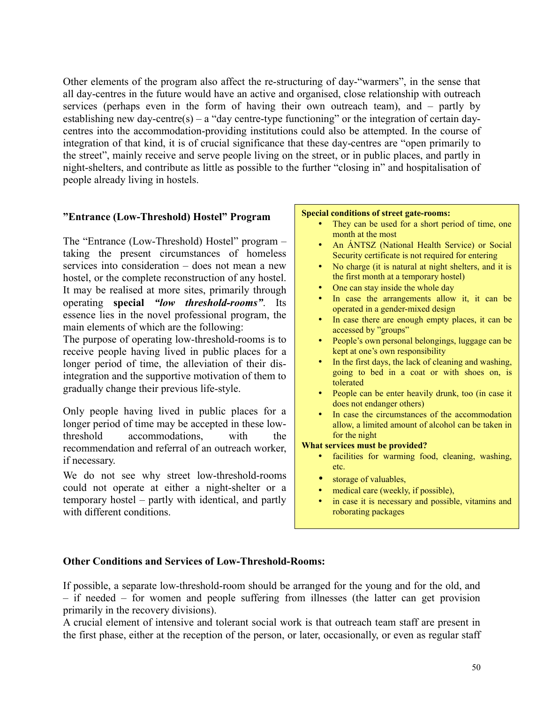Other elements of the program also affect the re-structuring of day-"warmers", in the sense that all day-centres in the future would have an active and organised, close relationship with outreach services (perhaps even in the form of having their own outreach team), and – partly by establishing new day-centre(s) – a "day centre-type functioning" or the integration of certain daycentres into the accommodation-providing institutions could also be attempted. In the course of integration of that kind, it is of crucial significance that these day-centres are "open primarily to the street", mainly receive and serve people living on the street, or in public places, and partly in night-shelters, and contribute as little as possible to the further "closing in" and hospitalisation of people already living in hostels.

#### **"Entrance (Low-Threshold) Hostel" Program**

The "Entrance (Low-Threshold) Hostel" program – taking the present circumstances of homeless services into consideration – does not mean a new hostel, or the complete reconstruction of any hostel. It may be realised at more sites, primarily through operating **special** *"low threshold-rooms"*. Its essence lies in the novel professional program, the main elements of which are the following:

The purpose of operating low-threshold-rooms is to receive people having lived in public places for a longer period of time, the alleviation of their disintegration and the supportive motivation of them to gradually change their previous life-style.

Only people having lived in public places for a longer period of time may be accepted in these lowthreshold accommodations, with the recommendation and referral of an outreach worker, if necessary.

We do not see why street low-threshold-rooms could not operate at either a night-shelter or a temporary hostel – partly with identical, and partly with different conditions.

#### **Special conditions of street gate-rooms:**

- They can be used for a short period of time, one month at the most
- An ÁNTSZ (National Health Service) or Social Security certificate is not required for entering
- No charge (it is natural at night shelters, and it is the first month at a temporary hostel)
- One can stay inside the whole day
- In case the arrangements allow it, it can be operated in a gender-mixed design
- In case there are enough empty places, it can be accessed by "groups"
- People's own personal belongings, luggage can be kept at one's own responsibility
- In the first days, the lack of cleaning and washing, going to bed in a coat or with shoes on, is tolerated
- People can be enter heavily drunk, too (in case it does not endanger others)
- In case the circumstances of the accommodation allow, a limited amount of alcohol can be taken in for the night

#### **What services must be provided?**

- facilities for warming food, cleaning, washing, etc.
- storage of valuables,
- medical care (weekly, if possible).
- in case it is necessary and possible, vitamins and roborating packages

## **Other Conditions and Services of Low-Threshold-Rooms:**

If possible, a separate low-threshold-room should be arranged for the young and for the old, and – if needed – for women and people suffering from illnesses (the latter can get provision primarily in the recovery divisions).

A crucial element of intensive and tolerant social work is that outreach team staff are present in the first phase, either at the reception of the person, or later, occasionally, or even as regular staff